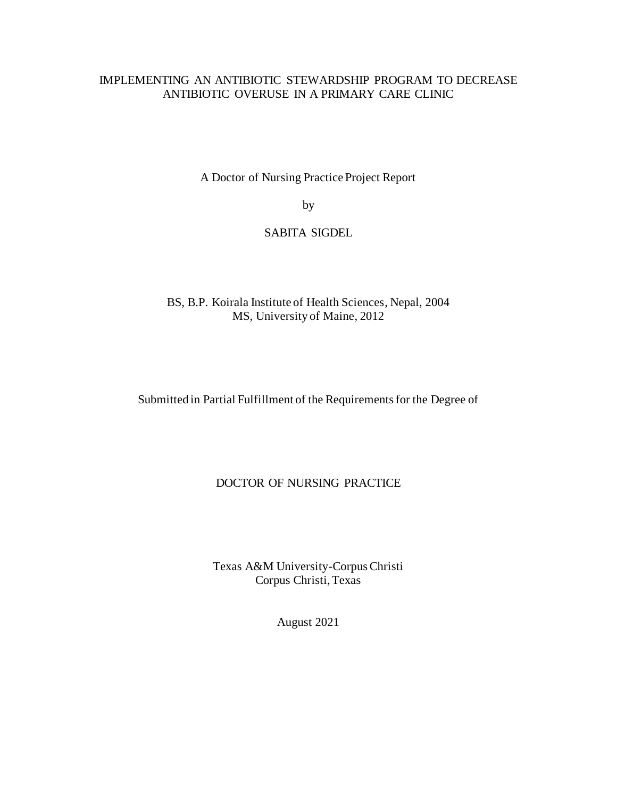### IMPLEMENTING AN ANTIBIOTIC STEWARDSHIP PROGRAM TO DECREASE ANTIBIOTIC OVERUSE IN A PRIMARY CARE CLINIC

A Doctor of Nursing Practice Project Report

by

### SABITA SIGDEL

BS, B.P. Koirala Institute of Health Sciences, Nepal, 2004 MS, University of Maine, 2012

Submitted in Partial Fulfillment of the Requirements for the Degree of

### DOCTOR OF NURSING PRACTICE

Texas A&M University-Corpus Christi Corpus Christi, Texas

August 2021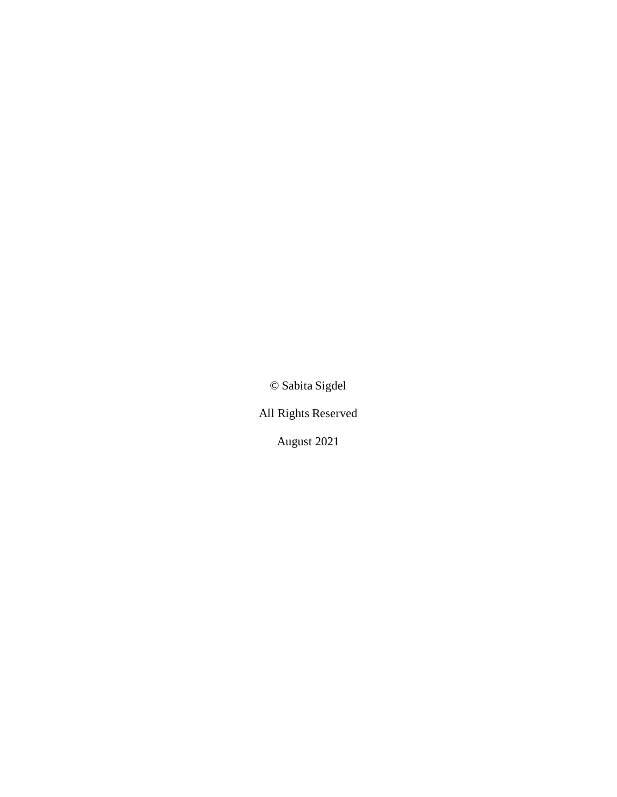© Sabita Sigdel

All Rights Reserved

August 2021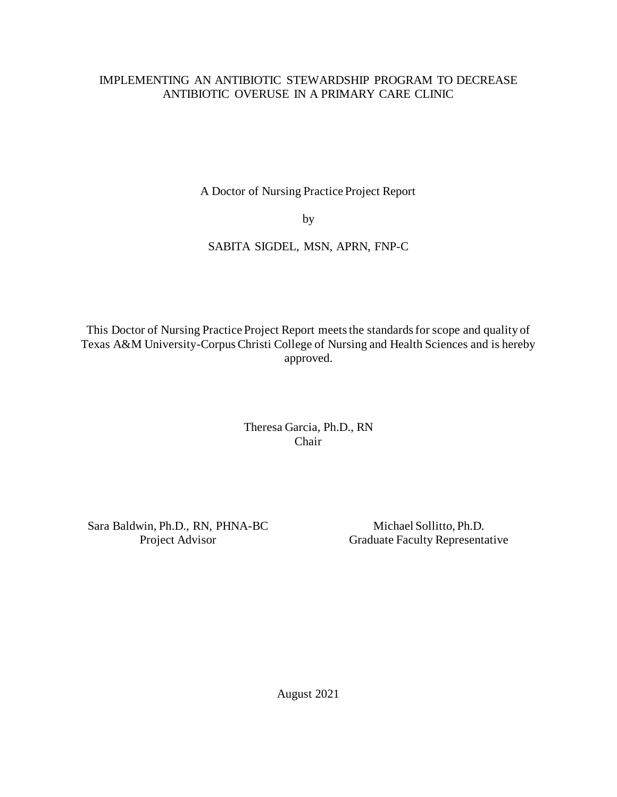### IMPLEMENTING AN ANTIBIOTIC STEWARDSHIP PROGRAM TO DECREASE ANTIBIOTIC OVERUSE IN A PRIMARY CARE CLINIC

A Doctor of Nursing Practice Project Report

by

## SABITA SIGDEL, MSN, APRN, FNP-C

This Doctor of Nursing Practice Project Report meets the standards for scope and quality of Texas A&M University-Corpus Christi College of Nursing and Health Sciences and is hereby approved.

> Theresa Garcia, Ph.D., RN Chair

Sara Baldwin, Ph.D., RN, PHNA-BC Project Advisor

Michael Sollitto, Ph.D. Graduate Faculty Representative

August 2021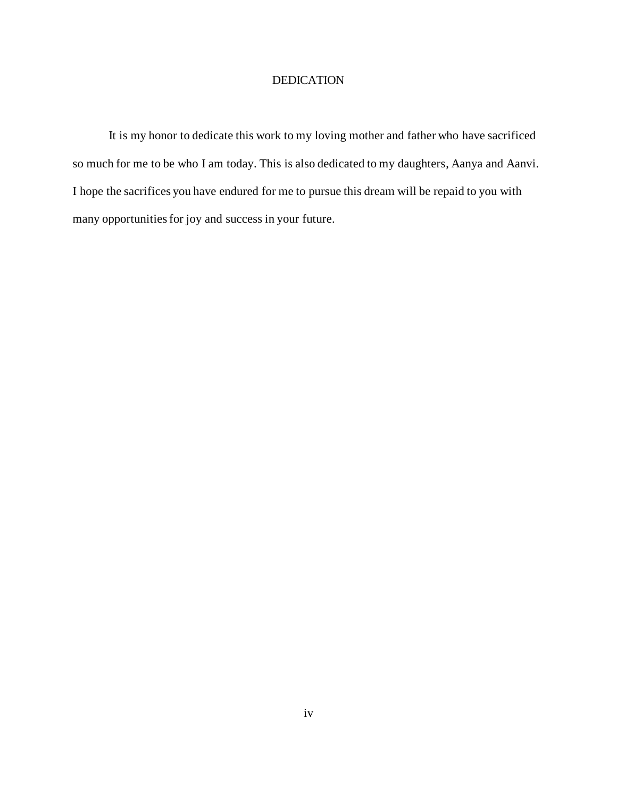### DEDICATION

<span id="page-3-0"></span>It is my honor to dedicate this work to my loving mother and father who have sacrificed so much for me to be who I am today. This is also dedicated to my daughters, Aanya and Aanvi. I hope the sacrifices you have endured for me to pursue this dream will be repaid to you with many opportunities for joy and success in your future.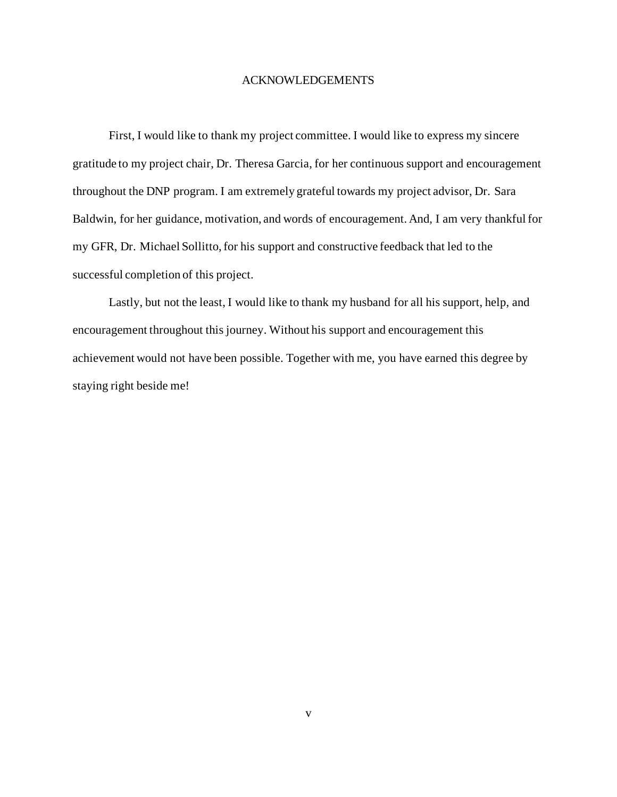#### ACKNOWLEDGEMENTS

<span id="page-4-0"></span>First, I would like to thank my project committee. I would like to express my sincere gratitude to my project chair, Dr. Theresa Garcia, for her continuous support and encouragement throughout the DNP program. I am extremely grateful towards my project advisor, Dr. Sara Baldwin, for her guidance, motivation, and words of encouragement. And, I am very thankful for my GFR, Dr. Michael Sollitto, for his support and constructive feedback that led to the successful completion of this project.

Lastly, but not the least, I would like to thank my husband for all his support, help, and encouragement throughout this journey. Without his support and encouragement this achievement would not have been possible. Together with me, you have earned this degree by staying right beside me!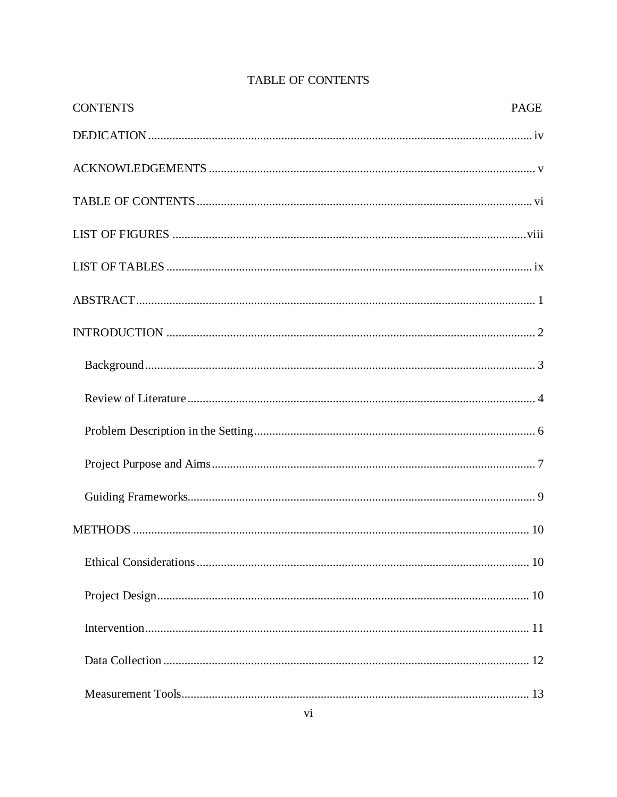<span id="page-5-0"></span>

| <b>CONTENTS</b> | <b>PAGE</b> |
|-----------------|-------------|
|                 |             |
|                 |             |
|                 |             |
|                 |             |
|                 |             |
|                 |             |
|                 |             |
|                 |             |
|                 |             |
|                 |             |
|                 |             |
|                 |             |
|                 |             |
|                 |             |
|                 |             |
|                 |             |
|                 |             |
|                 |             |

# TABLE OF CONTENTS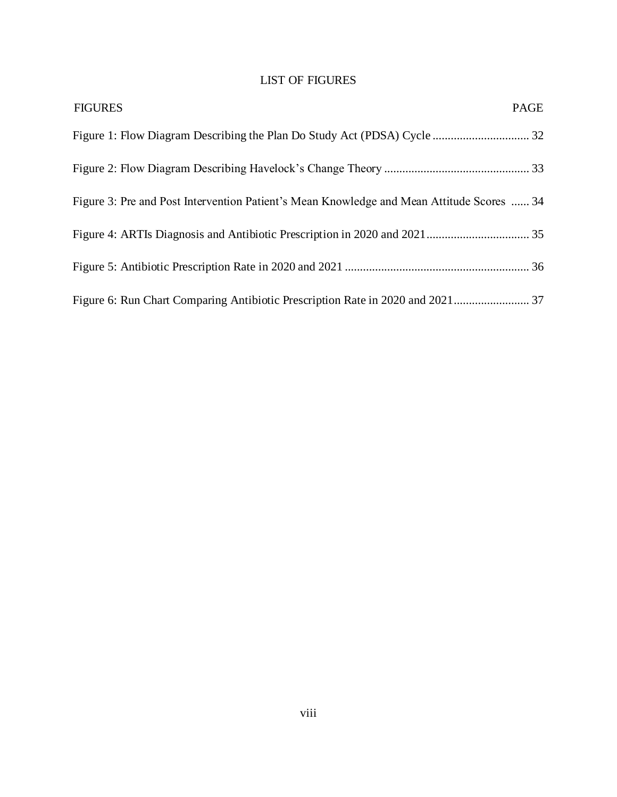## LIST OF FIGURES

<span id="page-7-0"></span>

| <b>FIGURES</b>                                                                            | <b>PAGE</b> |
|-------------------------------------------------------------------------------------------|-------------|
|                                                                                           |             |
|                                                                                           |             |
| Figure 3: Pre and Post Intervention Patient's Mean Knowledge and Mean Attitude Scores  34 |             |
|                                                                                           |             |
|                                                                                           |             |
|                                                                                           |             |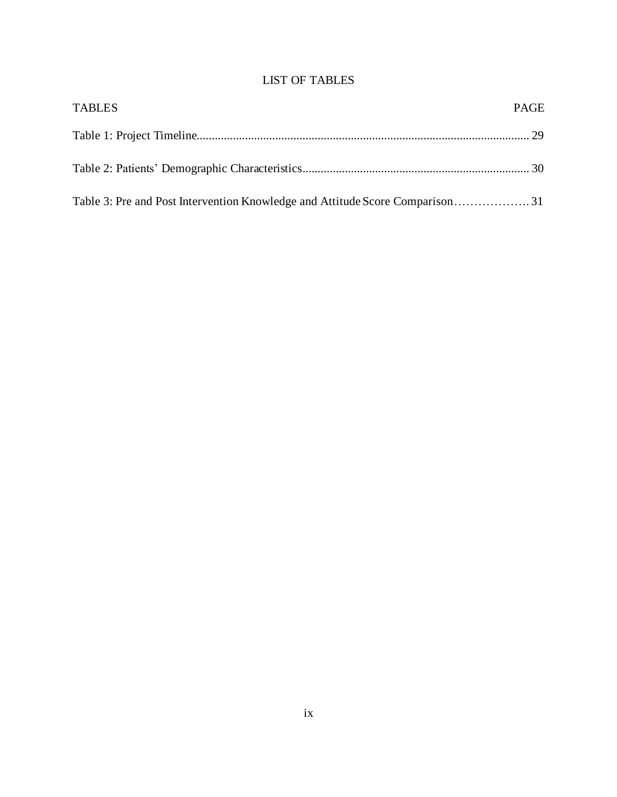## LIST OF TABLES

<span id="page-8-0"></span>

| <b>TABLES</b> | <b>PAGE</b> |
|---------------|-------------|
|               |             |
|               |             |
|               |             |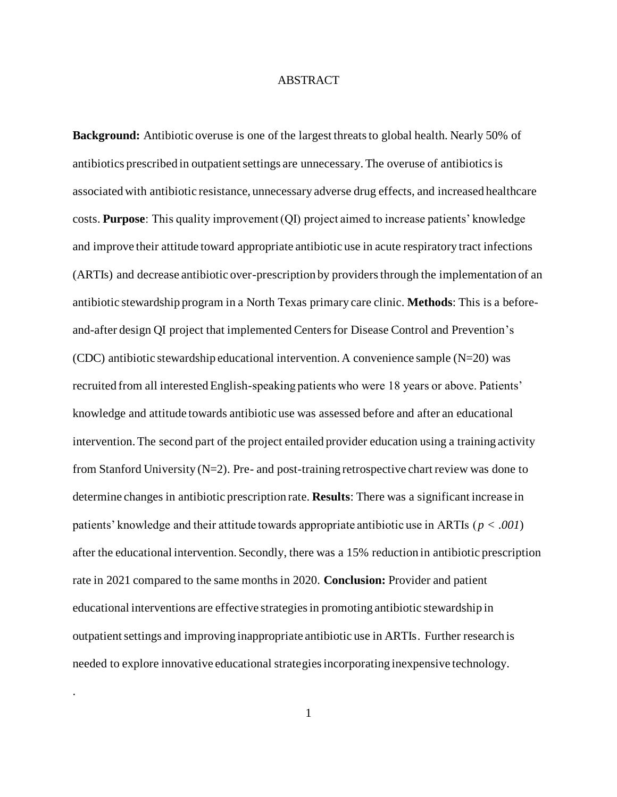#### ABSTRACT

<span id="page-9-0"></span>**Background:** Antibiotic overuse is one of the largest threats to global health. Nearly 50% of antibiotics prescribed in outpatient settings are unnecessary. The overuse of antibiotics is associated with antibiotic resistance, unnecessary adverse drug effects, and increased healthcare costs. **Purpose**: This quality improvement (QI) project aimed to increase patients' knowledge and improve their attitude toward appropriate antibiotic use in acute respiratory tract infections (ARTIs) and decrease antibiotic over-prescription by providers through the implementation of an antibiotic stewardship program in a North Texas primary care clinic. **Methods**: This is a beforeand-after design QI project that implemented Centers for Disease Control and Prevention's (CDC) antibiotic stewardship educational intervention. A convenience sample  $(N=20)$  was recruited from all interested English-speaking patients who were 18 years or above. Patients' knowledge and attitude towards antibiotic use was assessed before and after an educational intervention. The second part of the project entailed provider education using a training activity from Stanford University  $(N=2)$ . Pre- and post-training retrospective chart review was done to determine changes in antibiotic prescription rate. **Results**: There was a significant increase in patients' knowledge and their attitude towards appropriate antibiotic use in ARTIs (*p < .001*) after the educational intervention. Secondly, there was a 15% reduction in antibiotic prescription rate in 2021 compared to the same months in 2020. **Conclusion:** Provider and patient educational interventions are effective strategies in promoting antibiotic stewardship in outpatient settings and improving inappropriate antibiotic use in ARTIs. Further research is needed to explore innovative educational strategies incorporating inexpensive technology.

.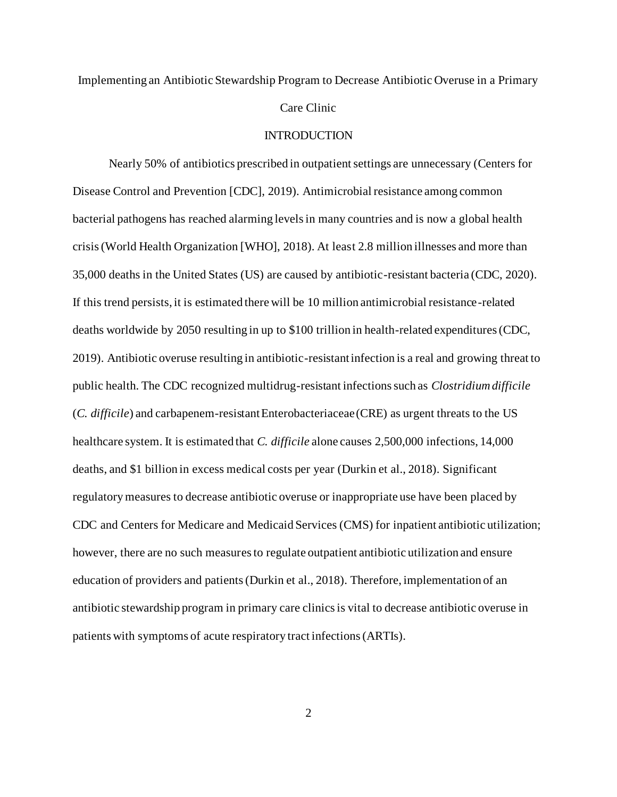# Implementing an Antibiotic Stewardship Program to Decrease Antibiotic Overuse in a Primary Care Clinic

#### INTRODUCTION

<span id="page-10-0"></span>Nearly 50% of antibiotics prescribed in outpatient settings are unnecessary (Centers for Disease Control and Prevention [CDC], 2019). Antimicrobial resistance among common bacterial pathogens has reached alarming levels in many countries and is now a global health crisis (World Health Organization [WHO], 2018). At least 2.8 million illnesses and more than 35,000 deaths in the United States (US) are caused by antibiotic-resistant bacteria (CDC, 2020). If this trend persists, it is estimated there will be 10 million antimicrobial resistance-related deaths worldwide by 2050 resulting in up to \$100 trillion in health-related expenditures (CDC, 2019). Antibiotic overuse resulting in antibiotic-resistant infection is a real and growing threat to public health. The CDC recognized multidrug-resistant infections such as *Clostridium difficile* (*C. difficile*) and carbapenem-resistant Enterobacteriaceae (CRE) as urgent threats to the US healthcare system. It is estimated that *C. difficile* alone causes 2,500,000 infections, 14,000 deaths, and \$1 billion in excess medical costs per year (Durkin et al., 2018). Significant regulatory measures to decrease antibiotic overuse or inappropriate use have been placed by CDC and Centers for Medicare and Medicaid Services (CMS) for inpatient antibiotic utilization; however, there are no such measures to regulate outpatient antibiotic utilization and ensure education of providers and patients (Durkin et al., 2018). Therefore, implementation of an antibiotic stewardship program in primary care clinics is vital to decrease antibiotic overuse in patients with symptoms of acute respiratory tract infections (ARTIs).

2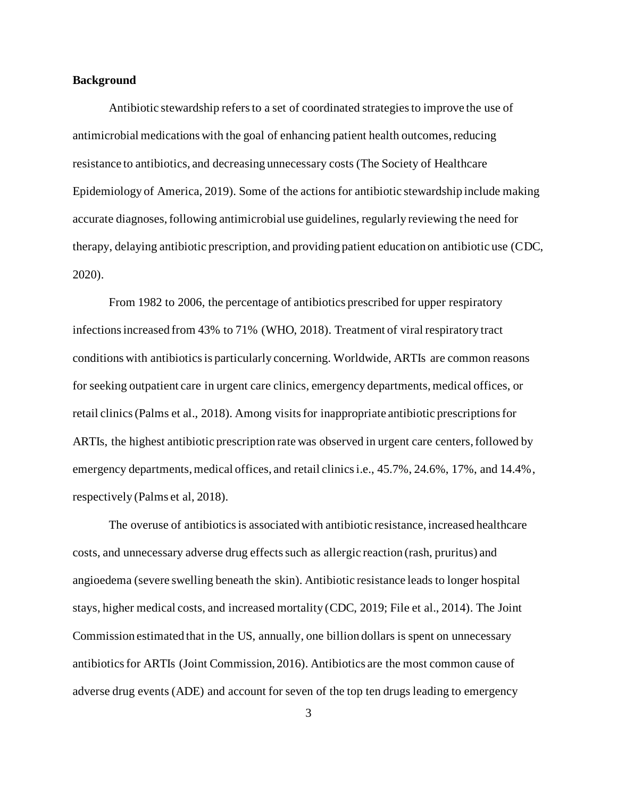#### <span id="page-11-0"></span>**Background**

Antibiotic stewardship refers to a set of coordinated strategies to improve the use of antimicrobial medications with the goal of enhancing patient health outcomes, reducing resistance to antibiotics, and decreasing unnecessary costs (The Society of Healthcare Epidemiology of America, 2019). Some of the actions for antibiotic stewardship include making accurate diagnoses, following antimicrobial use guidelines, regularly reviewing the need for therapy, delaying antibiotic prescription, and providing patient education on antibiotic use (CDC, 2020).

From 1982 to 2006, the percentage of antibiotics prescribed for upper respiratory infections increased from 43% to 71% (WHO, 2018). Treatment of viral respiratory tract conditions with antibiotics is particularly concerning. Worldwide, ARTIs are common reasons for seeking outpatient care in urgent care clinics, emergency departments, medical offices, or retail clinics (Palms et al., 2018). Among visits for inappropriate antibiotic prescriptions for ARTIs, the highest antibiotic prescription rate was observed in urgent care centers, followed by emergency departments, medical offices, and retail clinics i.e., 45.7%, 24.6%, 17%, and 14.4%, respectively (Palms et al, 2018).

The overuse of antibiotics is associated with antibiotic resistance, increased healthcare costs, and unnecessary adverse drug effects such as allergic reaction (rash, pruritus) and angioedema (severe swelling beneath the skin). Antibiotic resistance leads to longer hospital stays, higher medical costs, and increased mortality (CDC, 2019; File et al., 2014). The Joint Commission estimated that in the US, annually, one billion dollars is spent on unnecessary antibiotics for ARTIs (Joint Commission, 2016). Antibiotics are the most common cause of adverse drug events (ADE) and account for seven of the top ten drugs leading to emergency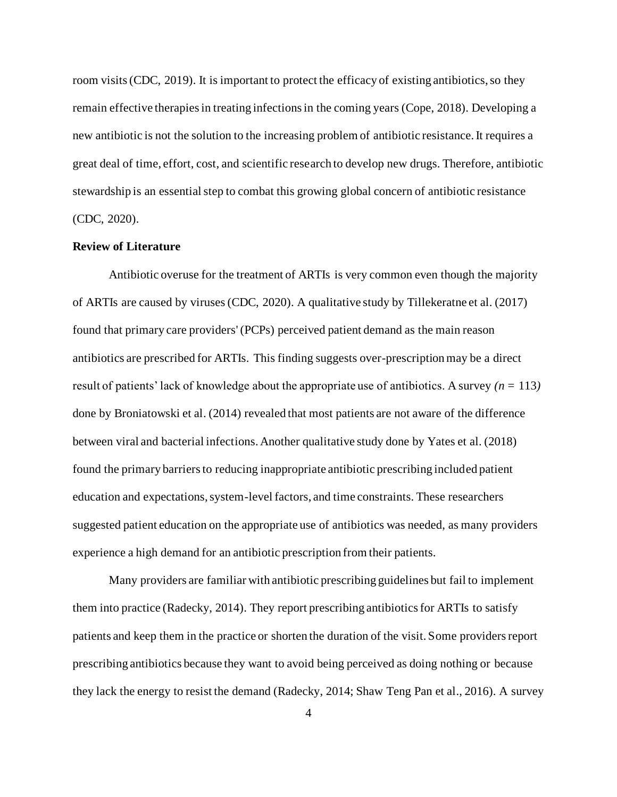room visits (CDC, 2019). It is important to protect the efficacy of existing antibiotics, so they remain effective therapies in treating infections in the coming years (Cope, 2018). Developing a new antibiotic is not the solution to the increasing problem of antibiotic resistance. It requires a great deal of time, effort, cost, and scientific research to develop new drugs. Therefore, antibiotic stewardship is an essential step to combat this growing global concern of antibiotic resistance (CDC, 2020).

#### <span id="page-12-0"></span>**Review of Literature**

Antibiotic overuse for the treatment of ARTIs is very common even though the majority of ARTIs are caused by viruses(CDC, 2020). A qualitative study by Tillekeratne et al. (2017) found that primary care providers' (PCPs) perceived patient demand as the main reason antibiotics are prescribed for ARTIs. This finding suggests over-prescription may be a direct result of patients' lack of knowledge about the appropriate use of antibiotics. A survey *(n =* 113*)* done by Broniatowski et al. (2014) revealed that most patients are not aware of the difference between viral and bacterial infections. Another qualitative study done by Yates et al. (2018) found the primary barriers to reducing inappropriate antibiotic prescribing included patient education and expectations, system-level factors, and time constraints. These researchers suggested patient education on the appropriate use of antibiotics was needed, as many providers experience a high demand for an antibiotic prescription from their patients.

Many providers are familiar with antibiotic prescribing guidelines but fail to implement them into practice (Radecky, 2014). They report prescribing antibiotics for ARTIs to satisfy patients and keep them in the practice or shorten the duration of the visit. Some providers report prescribing antibiotics because they want to avoid being perceived as doing nothing or because they lack the energy to resist the demand (Radecky, 2014; Shaw Teng Pan et al., 2016). A survey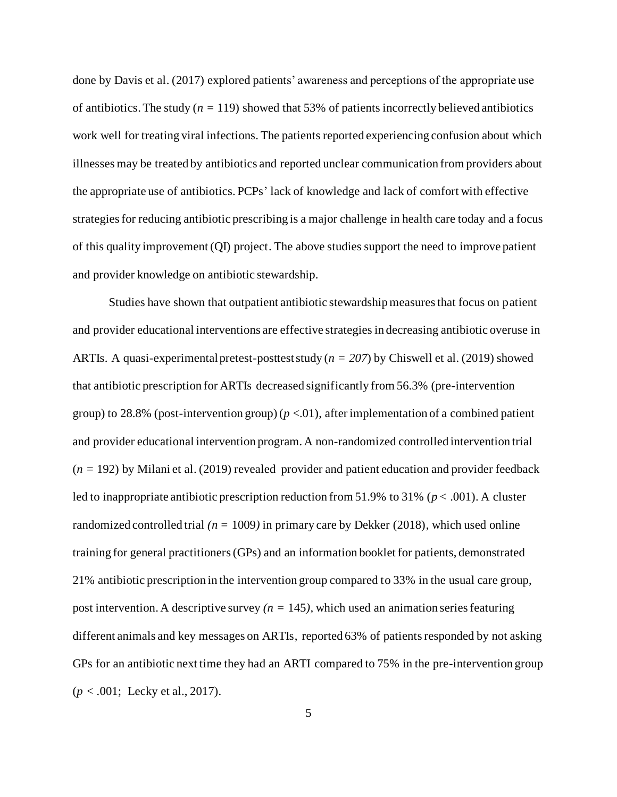done by Davis et al. (2017) explored patients' awareness and perceptions of the appropriate use of antibiotics. The study ( $n = 119$ ) showed that 53% of patients incorrectly believed antibiotics work well for treating viral infections. The patients reported experiencing confusion about which illnesses may be treated by antibiotics and reported unclear communication from providers about the appropriate use of antibiotics. PCPs' lack of knowledge and lack of comfort with effective strategies for reducing antibiotic prescribing is a major challenge in health care today and a focus of this quality improvement (QI) project. The above studies support the need to improve patient and provider knowledge on antibiotic stewardship.

Studies have shown that outpatient antibiotic stewardship measures that focus on patient and provider educational interventions are effective strategies in decreasing antibiotic overuse in ARTIs. A quasi-experimental pretest-posttest study (*n = 207*) by Chiswell et al. (2019) showed that antibiotic prescription for ARTIs decreased significantly from 56.3% (pre-intervention group) to 28.8% (post-intervention group)  $(p < .01)$ , after implementation of a combined patient and provider educational intervention program. A non-randomized controlled intervention trial  $(n = 192)$  by Milani et al. (2019) revealed provider and patient education and provider feedback led to inappropriate antibiotic prescription reduction from 51.9% to 31% (*p* < .001). A cluster randomized controlled trial  $(n = 1009)$  in primary care by Dekker (2018), which used online training for general practitioners(GPs) and an information booklet for patients, demonstrated 21% antibiotic prescription in the intervention group compared to 33% in the usual care group, post intervention. A descriptive survey  $(n = 145)$ , which used an animation series featuring different animals and key messages on ARTIs, reported 63% of patients responded by not asking GPs for an antibiotic next time they had an ARTI compared to 75% in the pre-intervention group (*p < .*001; Lecky et al., 2017).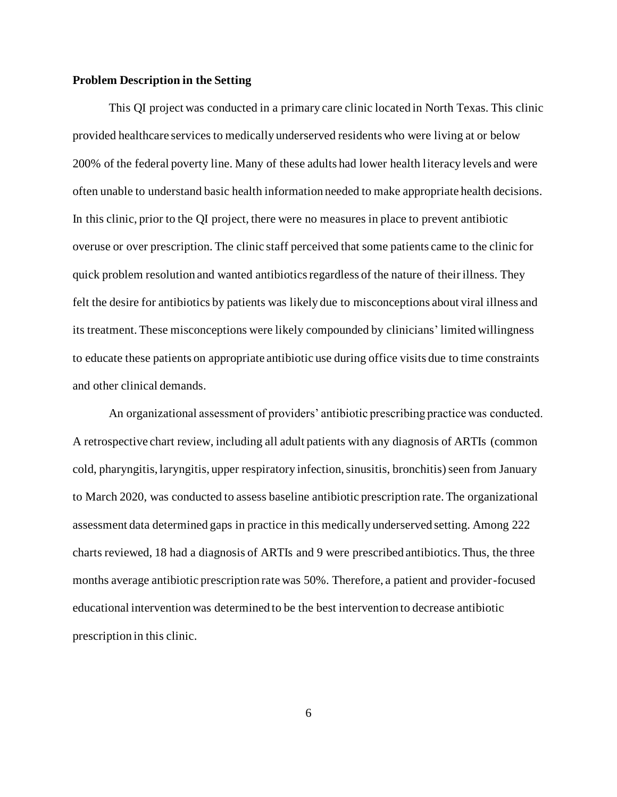#### <span id="page-14-0"></span>**Problem Description in the Setting**

This QI project was conducted in a primary care clinic located in North Texas. This clinic provided healthcare services to medically underserved residents who were living at or below 200% of the federal poverty line. Many of these adults had lower health literacy levels and were often unable to understand basic health information needed to make appropriate health decisions. In this clinic, prior to the QI project, there were no measures in place to prevent antibiotic overuse or over prescription. The clinic staff perceived that some patients came to the clinic for quick problem resolution and wanted antibiotics regardless of the nature of their illness. They felt the desire for antibiotics by patients was likely due to misconceptions about viral illness and its treatment. These misconceptions were likely compounded by clinicians' limited willingness to educate these patients on appropriate antibiotic use during office visits due to time constraints and other clinical demands.

An organizational assessment of providers' antibiotic prescribing practice was conducted. A retrospective chart review, including all adult patients with any diagnosis of ARTIs (common cold, pharyngitis, laryngitis, upper respiratory infection, sinusitis, bronchitis) seen from January to March 2020, was conducted to assess baseline antibiotic prescription rate. The organizational assessment data determined gaps in practice in this medically underserved setting. Among 222 charts reviewed, 18 had a diagnosis of ARTIs and 9 were prescribed antibiotics. Thus, the three months average antibiotic prescription rate was 50%. Therefore, a patient and provider-focused educational intervention was determined to be the best intervention to decrease antibiotic prescription in this clinic.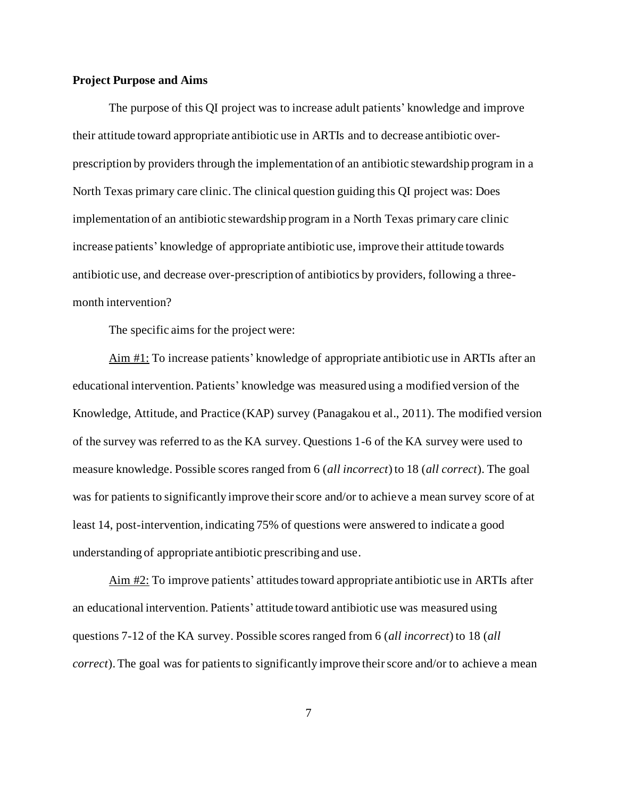#### <span id="page-15-0"></span>**Project Purpose and Aims**

The purpose of this QI project was to increase adult patients' knowledge and improve their attitude toward appropriate antibiotic use in ARTIs and to decrease antibiotic overprescription by providers through the implementation of an antibiotic stewardship program in a North Texas primary care clinic. The clinical question guiding this QI project was: Does implementation of an antibiotic stewardship program in a North Texas primary care clinic increase patients' knowledge of appropriate antibiotic use, improve their attitude towards antibiotic use, and decrease over-prescription of antibiotics by providers, following a threemonth intervention?

The specific aims for the project were:

Aim #1: To increase patients' knowledge of appropriate antibiotic use in ARTIs after an educational intervention. Patients' knowledge was measured using a modified version of the Knowledge, Attitude, and Practice (KAP) survey (Panagakou et al., 2011). The modified version of the survey was referred to as the KA survey. Questions 1-6 of the KA survey were used to measure knowledge. Possible scores ranged from 6 (*all incorrect*) to 18 (*all correct*). The goal was for patients to significantly improve their score and/or to achieve a mean survey score of at least 14, post-intervention, indicating 75% of questions were answered to indicate a good understanding of appropriate antibiotic prescribing and use.

Aim #2: To improve patients' attitudes toward appropriate antibiotic use in ARTIs after an educational intervention. Patients' attitude toward antibiotic use was measured using questions 7-12 of the KA survey. Possible scores ranged from 6 (*all incorrect*) to 18 (*all correct*). The goal was for patients to significantly improve their score and/or to achieve a mean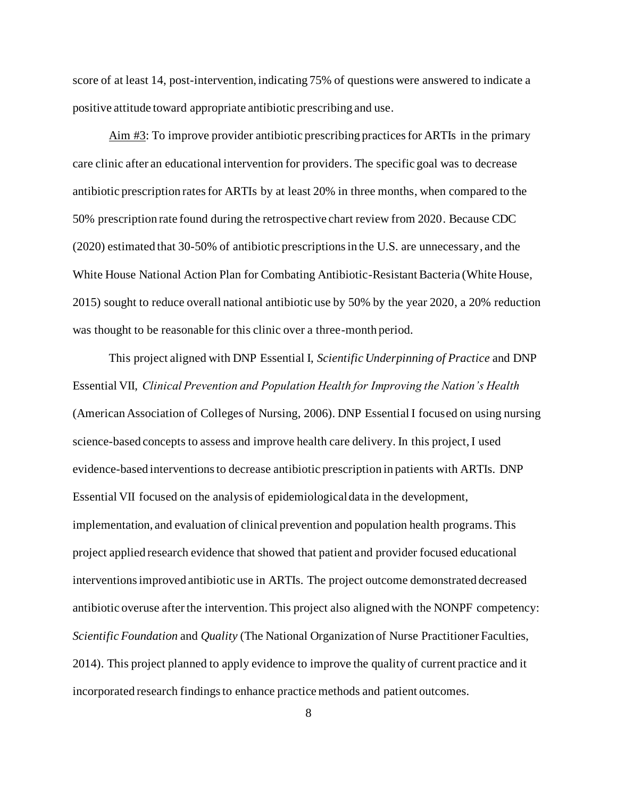score of at least 14, post-intervention, indicating 75% of questions were answered to indicate a positive attitude toward appropriate antibiotic prescribing and use.

Aim #3: To improve provider antibiotic prescribing practices for ARTIs in the primary care clinic after an educational intervention for providers. The specific goal was to decrease antibiotic prescription rates for ARTIs by at least 20% in three months, when compared to the 50% prescription rate found during the retrospective chart review from 2020. Because CDC (2020) estimated that 30-50% of antibiotic prescriptions in the U.S. are unnecessary, and the White House National Action Plan for Combating Antibiotic-Resistant Bacteria (White House, 2015) sought to reduce overall national antibiotic use by 50% by the year 2020, a 20% reduction was thought to be reasonable for this clinic over a three-month period.

This project aligned with DNP Essential I, *Scientific Underpinning of Practice* and DNP Essential VII, *Clinical Prevention and Population Health for Improving the Nation's Health* (American Association of Colleges of Nursing, 2006). DNP Essential I focused on using nursing science-based concepts to assess and improve health care delivery. In this project, I used evidence-based interventions to decrease antibiotic prescription in patients with ARTIs. DNP Essential VII focused on the analysis of epidemiological data in the development, implementation, and evaluation of clinical prevention and population health programs. This project applied research evidence that showed that patient and provider focused educational interventions improved antibiotic use in ARTIs. The project outcome demonstrated decreased antibiotic overuse after the intervention. This project also aligned with the NONPF competency: *Scientific Foundation* and *Quality* (The National Organization of Nurse Practitioner Faculties, 2014). This project planned to apply evidence to improve the quality of current practice and it incorporated research findings to enhance practice methods and patient outcomes.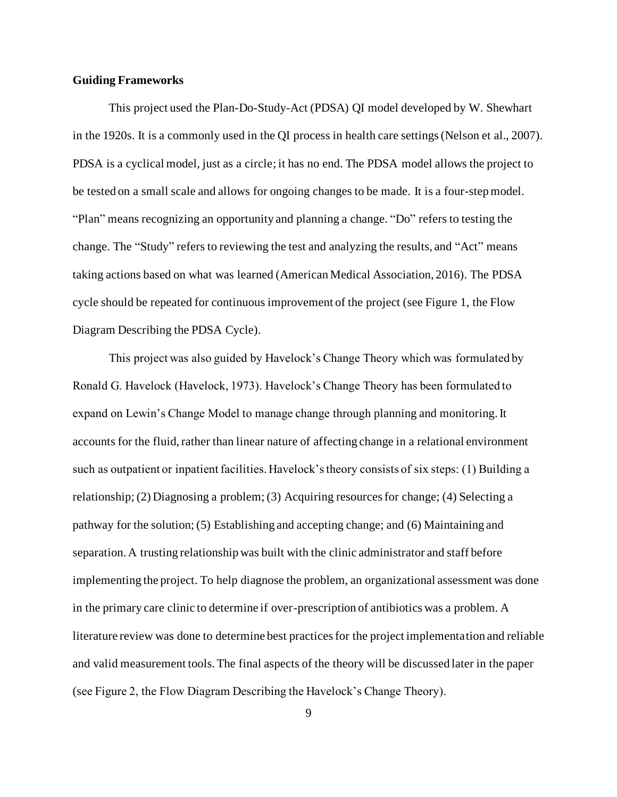#### <span id="page-17-0"></span>**Guiding Frameworks**

This project used the Plan-Do-Study-Act (PDSA) QI model developed by W. Shewhart in the 1920s. It is a commonly used in the QI process in health care settings (Nelson et al., 2007). PDSA is a cyclical model, just as a circle; it has no end. The PDSA model allows the project to be tested on a small scale and allows for ongoing changes to be made. It is a four-step model. "Plan" means recognizing an opportunity and planning a change. "Do" refers to testing the change. The "Study" refers to reviewing the test and analyzing the results, and "Act" means taking actions based on what was learned (American Medical Association, 2016). The PDSA cycle should be repeated for continuous improvement of the project (see Figure 1, the Flow Diagram Describing the PDSA Cycle).

This project was also guided by Havelock's Change Theory which was formulated by Ronald G. Havelock (Havelock, 1973). Havelock's Change Theory has been formulated to expand on Lewin's Change Model to manage change through planning and monitoring. It accounts for the fluid, rather than linear nature of affecting change in a relational environment such as outpatient or inpatient facilities. Havelock's theory consists of six steps: (1) Building a relationship; (2) Diagnosing a problem; (3) Acquiring resources for change; (4) Selecting a pathway for the solution; (5) Establishing and accepting change; and (6) Maintaining and separation. A trusting relationship was built with the clinic administrator and staff before implementing the project. To help diagnose the problem, an organizational assessment was done in the primary care clinic to determine if over-prescription of antibiotics was a problem. A literature review was done to determine best practices for the project implementation and reliable and valid measurement tools. The final aspects of the theory will be discussed later in the paper (see Figure 2, the Flow Diagram Describing the Havelock's Change Theory).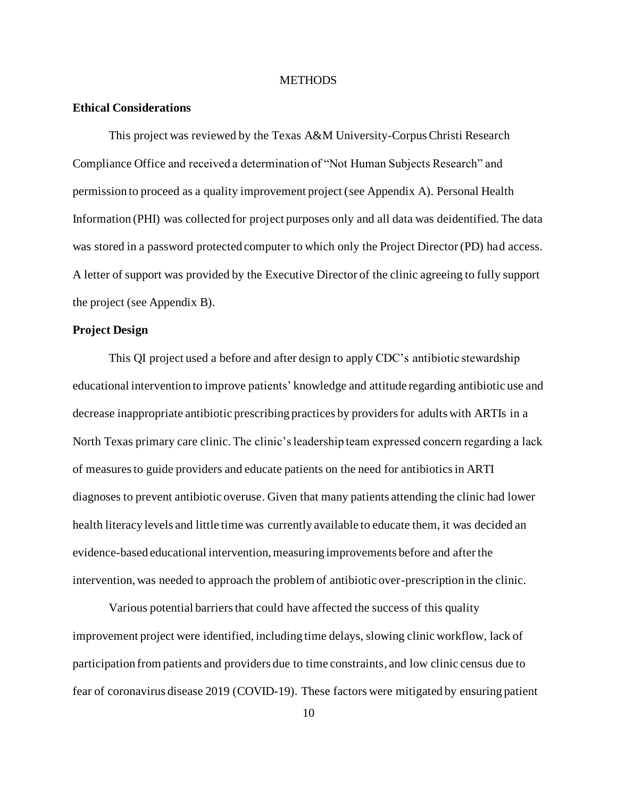#### **METHODS**

#### <span id="page-18-1"></span><span id="page-18-0"></span>**Ethical Considerations**

This project was reviewed by the Texas A&M University-Corpus Christi Research Compliance Office and received a determination of "Not Human Subjects Research" and permission to proceed as a quality improvement project (see Appendix A). Personal Health Information (PHI) was collected for project purposes only and all data was deidentified. The data was stored in a password protected computer to which only the Project Director (PD) had access. A letter of support was provided by the Executive Director of the clinic agreeing to fully support the project (see Appendix B).

#### <span id="page-18-2"></span>**Project Design**

This QI project used a before and after design to apply CDC's antibiotic stewardship educational intervention to improve patients' knowledge and attitude regarding antibiotic use and decrease inappropriate antibiotic prescribing practices by providers for adults with ARTIs in a North Texas primary care clinic. The clinic's leadership team expressed concern regarding a lack of measures to guide providers and educate patients on the need for antibiotics in ARTI diagnoses to prevent antibiotic overuse. Given that many patients attending the clinic had lower health literacy levels and little time was currently available to educate them, it was decided an evidence-based educational intervention, measuring improvements before and after the intervention, was needed to approach the problem of antibiotic over-prescription in the clinic.

Various potential barriers that could have affected the success of this quality improvement project were identified, including time delays, slowing clinic workflow, lack of participation from patients and providers due to time constraints, and low clinic census due to fear of coronavirus disease 2019 (COVID-19). These factors were mitigated by ensuring patient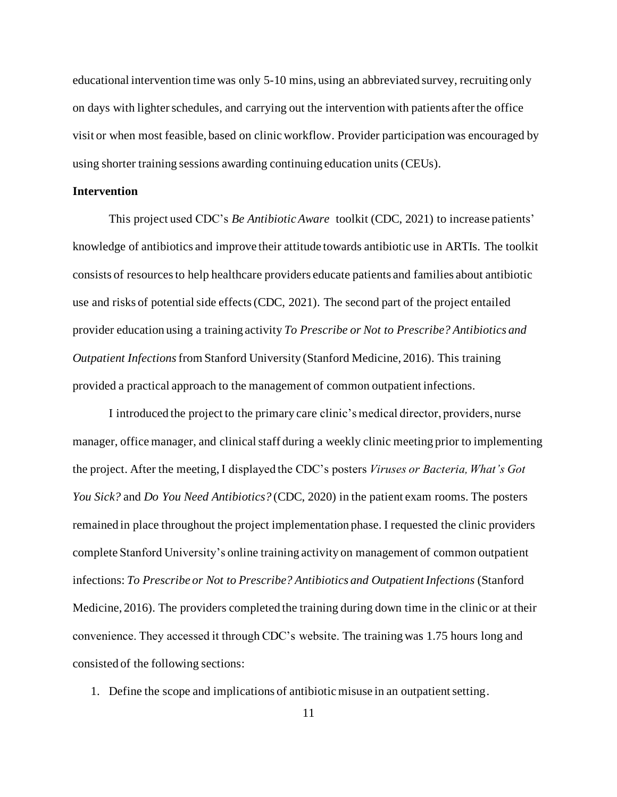educational intervention time was only 5-10 mins, using an abbreviated survey, recruiting only on days with lighter schedules, and carrying out the intervention with patients after the office visit or when most feasible, based on clinic workflow. Provider participation was encouraged by using shorter training sessions awarding continuing education units (CEUs).

#### <span id="page-19-0"></span>**Intervention**

This project used CDC's *Be Antibiotic Aware* toolkit (CDC, 2021) to increase patients' knowledge of antibiotics and improve their attitude towards antibiotic use in ARTIs. The toolkit consists of resources to help healthcare providers educate patients and families about antibiotic use and risks of potential side effects (CDC, 2021). The second part of the project entailed provider education using a training activity *To Prescribe or Not to Prescribe? Antibiotics and Outpatient Infections*from Stanford University (Stanford Medicine, 2016). This training provided a practical approach to the management of common outpatient infections.

I introduced the project to the primary care clinic's medical director, providers, nurse manager, office manager, and clinical staff during a weekly clinic meeting prior to implementing the project. After the meeting, I displayed the CDC's posters *Viruses or Bacteria, What's Got You Sick?* and *Do You Need Antibiotics?* (CDC, 2020) in the patient exam rooms. The posters remained in place throughout the project implementation phase. I requested the clinic providers complete Stanford University's online training activity on management of common outpatient infections: *To Prescribe or Not to Prescribe? Antibiotics and Outpatient Infections* (Stanford Medicine, 2016). The providers completed the training during down time in the clinic or at their convenience. They accessed it through CDC's website. The training was 1.75 hours long and consisted of the following sections:

1. Define the scope and implications of antibiotic misuse in an outpatient setting.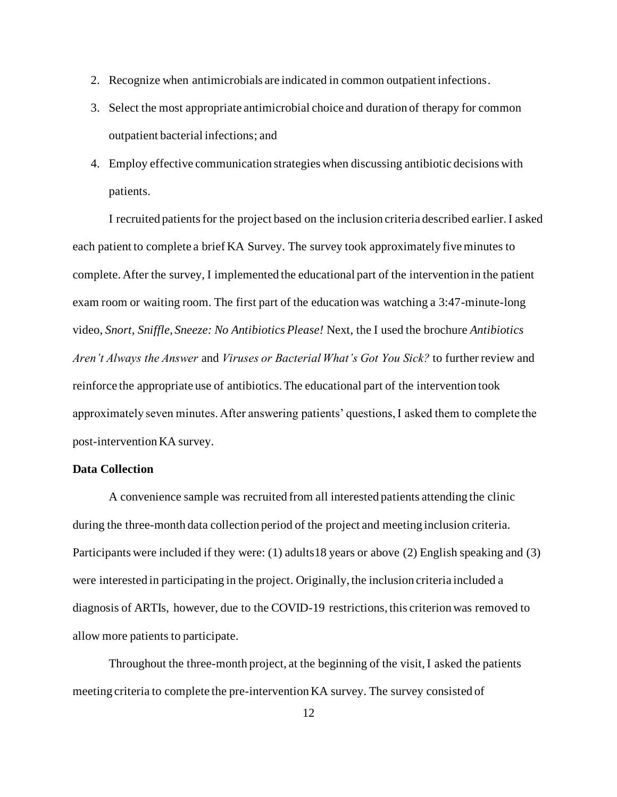- 2. Recognize when antimicrobials are indicated in common outpatient infections.
- 3. Select the most appropriate antimicrobial choice and duration of therapy for common outpatient bacterial infections; and
- 4. Employ effective communication strategies when discussing antibiotic decisions with patients.

<span id="page-20-0"></span>I recruited patients for the project based on the inclusion criteria described earlier. I asked each patient to complete a brief KA Survey. The survey took approximately five minutes to complete. After the survey, I implemented the educational part of the intervention in the patient exam room or waiting room. The first part of the education was watching a 3:47-minute-long video, *Snort, Sniffle, Sneeze: No Antibiotics Please!* Next, the I used the brochure *Antibiotics Aren't Always the Answer* and *Viruses or Bacterial What's Got You Sick?* to further review and reinforce the appropriate use of antibiotics. The educational part of the intervention took approximately seven minutes. After answering patients' questions, I asked them to complete the post-intervention KA survey.

#### **Data Collection**

A convenience sample was recruited from all interested patients attending the clinic during the three-month data collection period of the project and meeting inclusion criteria. Participants were included if they were: (1) adults18 years or above (2) English speaking and (3) were interested in participating in the project. Originally, the inclusion criteria included a diagnosis of ARTIs, however, due to the COVID-19 restrictions, this criterion was removed to allow more patients to participate.

Throughout the three-month project, at the beginning of the visit, I asked the patients meeting criteria to complete the pre-intervention KA survey. The survey consisted of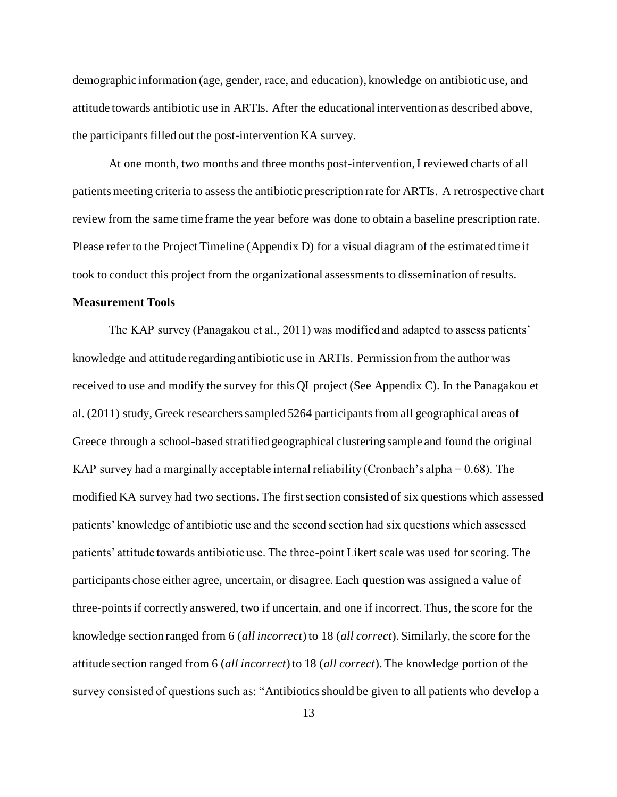demographic information (age, gender, race, and education), knowledge on antibiotic use, and attitude towards antibiotic use in ARTIs. After the educational intervention as described above, the participants filled out the post-intervention KA survey.

At one month, two months and three months post-intervention, I reviewed charts of all patients meeting criteria to assess the antibiotic prescription rate for ARTIs. A retrospective chart review from the same time frame the year before was done to obtain a baseline prescription rate. Please refer to the Project Timeline (Appendix D) for a visual diagram of the estimated time it took to conduct this project from the organizational assessments to dissemination of results.

#### <span id="page-21-0"></span>**Measurement Tools**

The KAP survey (Panagakou et al., 2011) was modified and adapted to assess patients' knowledge and attitude regarding antibiotic use in ARTIs. Permission from the author was received to use and modify the survey for this QI project (See Appendix C). In the Panagakou et al. (2011) study, Greek researchers sampled 5264 participants from all geographical areas of Greece through a school-based stratified geographical clustering sample and found the original KAP survey had a marginally acceptable internal reliability (Cronbach's alpha =  $0.68$ ). The modified KA survey had two sections. The first section consisted of six questions which assessed patients' knowledge of antibiotic use and the second section had six questions which assessed patients' attitude towards antibiotic use. The three-point Likert scale was used for scoring. The participants chose either agree, uncertain, or disagree. Each question was assigned a value of three-points if correctly answered, two if uncertain, and one if incorrect. Thus, the score for the knowledge section ranged from 6 (*all incorrect*) to 18 (*all correct*). Similarly, the score for the attitude section ranged from 6 (*all incorrect*) to 18 (*all correct*). The knowledge portion of the survey consisted of questions such as: "Antibiotics should be given to all patients who develop a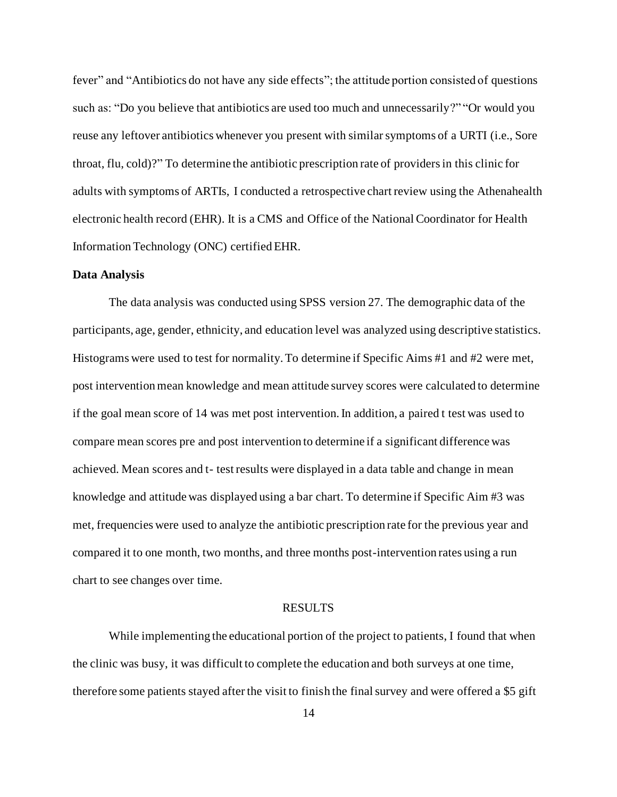fever" and "Antibiotics do not have any side effects"; the attitude portion consisted of questions such as: "Do you believe that antibiotics are used too much and unnecessarily?" "Or would you reuse any leftover antibiotics whenever you present with similar symptoms of a URTI (i.e., Sore throat, flu, cold)?" To determine the antibiotic prescription rate of providers in this clinic for adults with symptoms of ARTIs, I conducted a retrospective chart review using the Athenahealth electronic health record (EHR). It is a CMS and Office of the National Coordinator for Health Information Technology (ONC) certified EHR.

#### <span id="page-22-0"></span>**Data Analysis**

The data analysis was conducted using SPSS version 27. The demographic data of the participants, age, gender, ethnicity, and education level was analyzed using descriptive statistics. Histograms were used to test for normality. To determine if Specific Aims #1 and #2 were met, post intervention mean knowledge and mean attitude survey scores were calculated to determine if the goal mean score of 14 was met post intervention. In addition, a paired t test was used to compare mean scores pre and post intervention to determine if a significant difference was achieved. Mean scores and t- test results were displayed in a data table and change in mean knowledge and attitude was displayed using a bar chart. To determine if Specific Aim #3 was met, frequencies were used to analyze the antibiotic prescription rate for the previous year and compared it to one month, two months, and three months post-intervention rates using a run chart to see changes over time.

#### RESULTS

<span id="page-22-1"></span>While implementing the educational portion of the project to patients, I found that when the clinic was busy, it was difficult to complete the education and both surveys at one time, therefore some patients stayed after the visit to finish the final survey and were offered a \$5 gift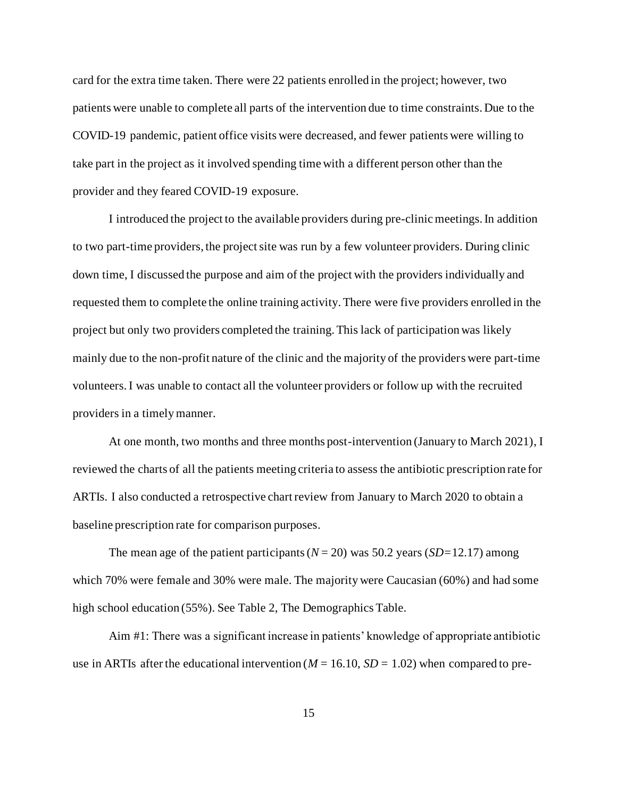card for the extra time taken. There were 22 patients enrolled in the project; however, two patients were unable to complete all parts of the intervention due to time constraints. Due to the COVID-19 pandemic, patient office visits were decreased, and fewer patients were willing to take part in the project as it involved spending time with a different person other than the provider and they feared COVID-19 exposure.

I introduced the project to the available providers during pre-clinic meetings. In addition to two part-time providers, the project site was run by a few volunteer providers. During clinic down time, I discussed the purpose and aim of the project with the providers individually and requested them to complete the online training activity. There were five providers enrolled in the project but only two providers completed the training. This lack of participation was likely mainly due to the non-profit nature of the clinic and the majority of the providers were part-time volunteers. I was unable to contact all the volunteer providers or follow up with the recruited providers in a timely manner.

At one month, two months and three months post-intervention (January to March 2021), I reviewed the charts of all the patients meeting criteria to assess the antibiotic prescription rate for ARTIs. I also conducted a retrospective chart review from January to March 2020 to obtain a baseline prescription rate for comparison purposes.

The mean age of the patient participants ( $N = 20$ ) was 50.2 years (*SD*=12.17) among which 70% were female and 30% were male. The majority were Caucasian (60%) and had some high school education (55%). See Table 2, The Demographics Table.

Aim #1: There was a significant increase in patients' knowledge of appropriate antibiotic use in ARTIs after the educational intervention ( $M = 16.10$ ,  $SD = 1.02$ ) when compared to pre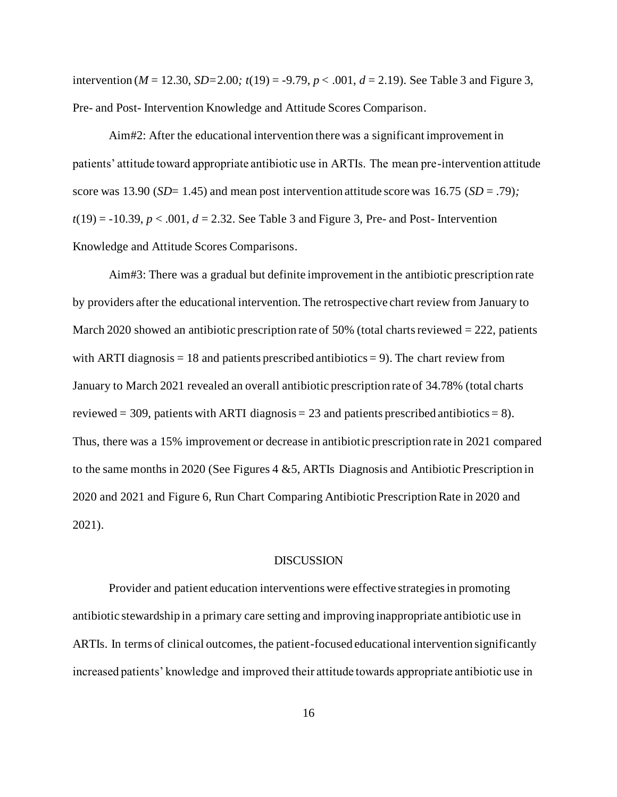intervention ( $M = 12.30$ ,  $SD = 2.00$ ;  $t(19) = -9.79$ ,  $p < .001$ ,  $d = 2.19$ ). See Table 3 and Figure 3, Pre- and Post- Intervention Knowledge and Attitude Scores Comparison.

Aim#2: After the educational intervention there was a significant improvement in patients' attitude toward appropriate antibiotic use in ARTIs. The mean pre-intervention attitude score was 13.90 (*SD*= 1.45) and mean post intervention attitude score was 16.75 (*SD* = .79)*;*  $t(19) = -10.39$ ,  $p < .001$ ,  $d = 2.32$ . See Table 3 and Figure 3, Pre- and Post-Intervention Knowledge and Attitude Scores Comparisons.

Aim#3: There was a gradual but definite improvement in the antibiotic prescription rate by providers after the educational intervention. The retrospective chart review from January to March 2020 showed an antibiotic prescription rate of 50% (total charts reviewed = 222, patients with ARTI diagnosis  $= 18$  and patients prescribed antibiotics  $= 9$ ). The chart review from January to March 2021 revealed an overall antibiotic prescription rate of 34.78% (total charts reviewed = 309, patients with ARTI diagnosis = 23 and patients prescribed antibiotics = 8). Thus, there was a 15% improvement or decrease in antibiotic prescription rate in 2021 compared to the same months in 2020 (See Figures 4 &5, ARTIs Diagnosis and Antibiotic Prescription in 2020 and 2021 and Figure 6, Run Chart Comparing Antibiotic Prescription Rate in 2020 and 2021).

#### **DISCUSSION**

<span id="page-24-0"></span>Provider and patient education interventions were effective strategies in promoting antibiotic stewardship in a primary care setting and improving inappropriate antibiotic use in ARTIs. In terms of clinical outcomes, the patient-focused educational intervention significantly increased patients' knowledge and improved their attitude towards appropriate antibiotic use in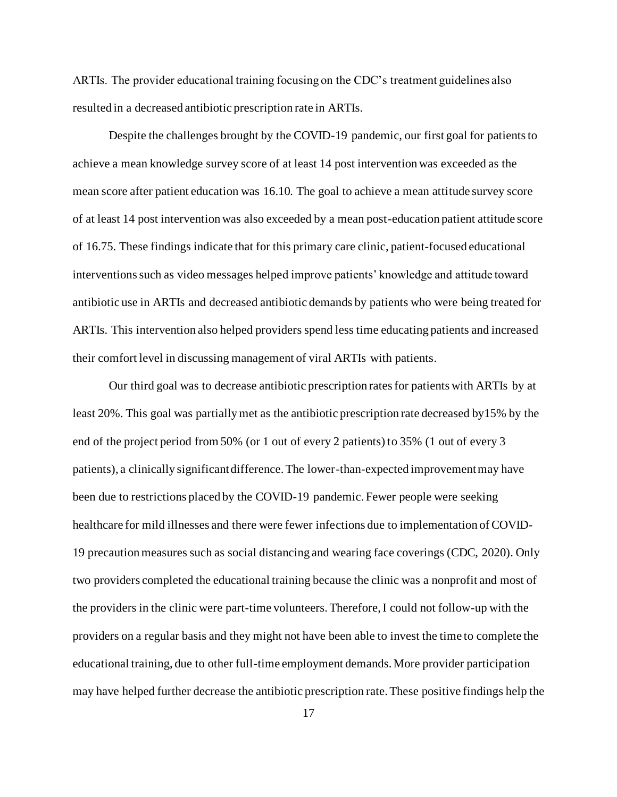ARTIs. The provider educational training focusing on the CDC's treatment guidelines also resulted in a decreased antibiotic prescription rate in ARTIs.

Despite the challenges brought by the COVID-19 pandemic, our first goal for patients to achieve a mean knowledge survey score of at least 14 post intervention was exceeded as the mean score after patient education was 16.10*.* The goal to achieve a mean attitude survey score of at least 14 post intervention was also exceeded by a mean post-education patient attitude score of 16.75. These findings indicate that for this primary care clinic, patient-focused educational interventions such as video messages helped improve patients' knowledge and attitude toward antibiotic use in ARTIs and decreased antibiotic demands by patients who were being treated for ARTIs. This intervention also helped providers spend less time educating patients and increased their comfort level in discussing management of viral ARTIs with patients.

Our third goal was to decrease antibiotic prescription rates for patients with ARTIs by at least 20%. This goal was partially met as the antibiotic prescription rate decreased by15% by the end of the project period from 50% (or 1 out of every 2 patients) to 35% (1 out of every 3 patients), a clinically significant difference. The lower-than-expected improvement may have been due to restrictions placed by the COVID-19 pandemic. Fewer people were seeking healthcare for mild illnesses and there were fewer infections due to implementation of COVID-19 precaution measures such as social distancing and wearing face coverings (CDC, 2020). Only two providers completed the educational training because the clinic was a nonprofit and most of the providers in the clinic were part-time volunteers. Therefore, I could not follow-up with the providers on a regular basis and they might not have been able to invest the time to complete the educational training, due to other full-time employment demands. More provider participation may have helped further decrease the antibiotic prescription rate. These positive findings help the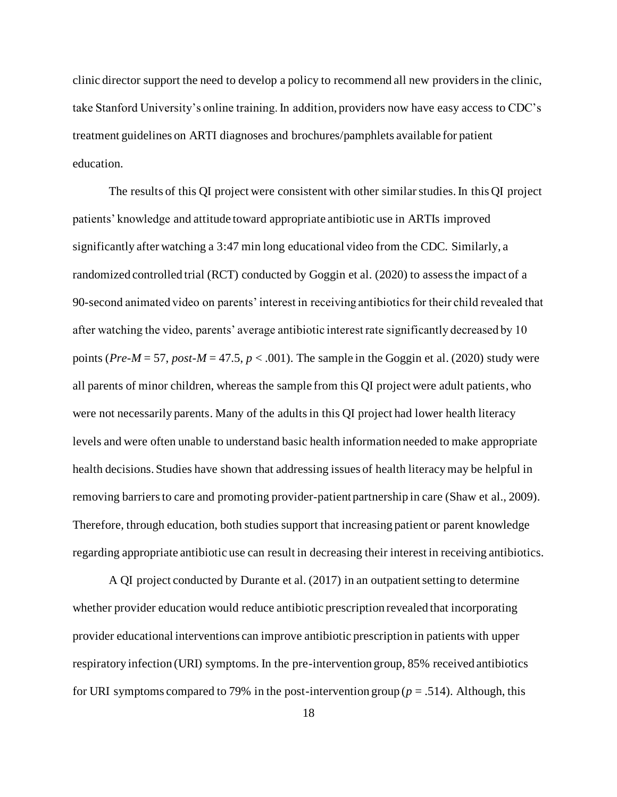clinic director support the need to develop a policy to recommend all new providers in the clinic, take Stanford University's online training. In addition, providers now have easy access to CDC's treatment guidelines on ARTI diagnoses and brochures/pamphlets available for patient education.

The results of this QI project were consistent with other similar studies. In this QI project patients' knowledge and attitude toward appropriate antibiotic use in ARTIs improved significantly after watching a 3:47 min long educational video from the CDC. Similarly, a randomized controlled trial (RCT) conducted by Goggin et al. (2020) to assess the impact of a 90-second animated video on parents' interest in receiving antibiotics for their child revealed that after watching the video, parents' average antibiotic interest rate significantly decreased by 10 points (*Pre-M* = 57, *post-M* = 47.5,  $p < .001$ ). The sample in the Goggin et al. (2020) study were all parents of minor children, whereas the sample from this QI project were adult patients, who were not necessarily parents. Many of the adultsin this QI project had lower health literacy levels and were often unable to understand basic health information needed to make appropriate health decisions. Studies have shown that addressing issues of health literacy may be helpful in removing barriers to care and promoting provider-patient partnership in care (Shaw et al., 2009). Therefore, through education, both studies support that increasing patient or parent knowledge regarding appropriate antibiotic use can result in decreasing their interest in receiving antibiotics.

A QI project conducted by Durante et al. (2017) in an outpatient setting to determine whether provider education would reduce antibiotic prescription revealed that incorporating provider educational interventions can improve antibiotic prescription in patients with upper respiratory infection (URI) symptoms. In the pre-intervention group, 85% received antibiotics for URI symptoms compared to 79% in the post-intervention group ( $p = .514$ ). Although, this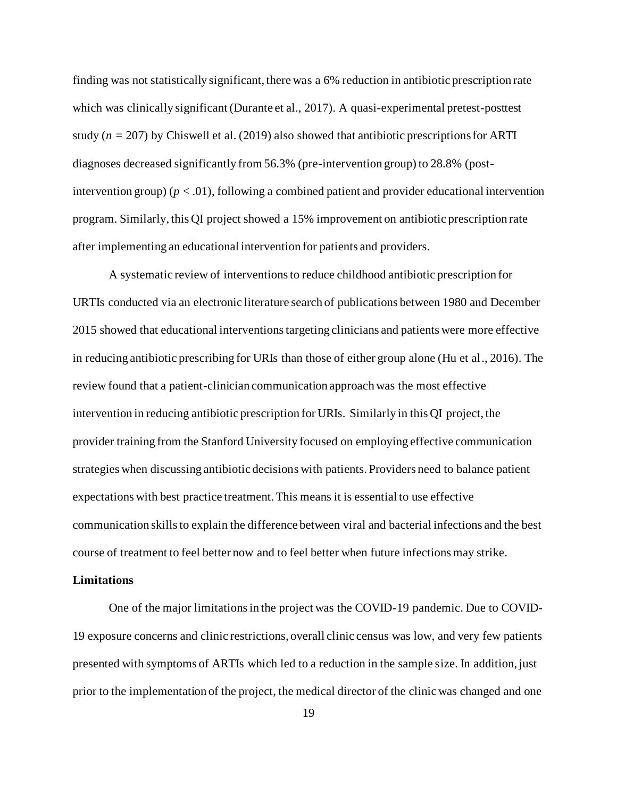finding was not statistically significant, there was a 6% reduction in antibiotic prescription rate which was clinically significant (Durante et al., 2017). A quasi-experimental pretest-posttest study  $(n = 207)$  by Chiswell et al. (2019) also showed that antibiotic prescriptions for ARTI diagnoses decreased significantly from 56.3% (pre-intervention group) to 28.8% (postintervention group) ( $p < .01$ ), following a combined patient and provider educational intervention program. Similarly, this QI project showed a 15% improvement on antibiotic prescription rate after implementing an educational intervention for patients and providers.

A systematic review of interventions to reduce childhood antibiotic prescription for URTIs conducted via an electronic literature search of publications between 1980 and December 2015 showed that educational interventions targeting clinicians and patients were more effective in reducing antibiotic prescribing for URIs than those of either group alone (Hu et al., 2016). The review found that a patient-clinician communication approach was the most effective intervention in reducing antibiotic prescription for URIs. Similarly in this QI project, the provider training from the Stanford University focused on employing effective communication strategies when discussing antibiotic decisions with patients. Providers need to balance patient expectations with best practice treatment. This means it is essential to use effective communication skills to explain the difference between viral and bacterial infections and the best course of treatment to feel better now and to feel better when future infections may strike.

#### <span id="page-27-0"></span>**Limitations**

One of the major limitations in the project was the COVID-19 pandemic. Due to COVID-19 exposure concerns and clinic restrictions, overall clinic census was low, and very few patients presented with symptoms of ARTIs which led to a reduction in the sample size. In addition, just prior to the implementation of the project, the medical director of the clinic was changed and one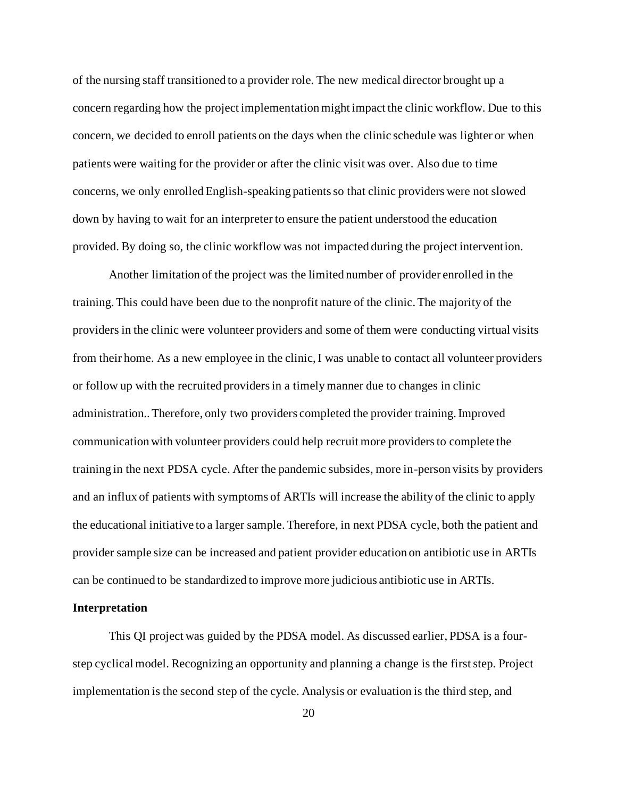of the nursing staff transitioned to a provider role. The new medical director brought up a concern regarding how the project implementation might impact the clinic workflow. Due to this concern, we decided to enroll patients on the days when the clinic schedule was lighter or when patients were waiting for the provider or after the clinic visit was over. Also due to time concerns, we only enrolled English-speaking patients so that clinic providers were not slowed down by having to wait for an interpreter to ensure the patient understood the education provided. By doing so, the clinic workflow was not impacted during the project intervention.

Another limitation of the project was the limited number of provider enrolled in the training. This could have been due to the nonprofit nature of the clinic. The majority of the providers in the clinic were volunteer providers and some of them were conducting virtual visits from their home. As a new employee in the clinic, I was unable to contact all volunteer providers or follow up with the recruited providers in a timely manner due to changes in clinic administration.. Therefore, only two providers completed the provider training. Improved communication with volunteer providers could help recruit more providers to complete the training in the next PDSA cycle. After the pandemic subsides, more in-person visits by providers and an influx of patients with symptoms of ARTIs will increase the ability of the clinic to apply the educational initiative to a larger sample. Therefore, in next PDSA cycle, both the patient and provider sample size can be increased and patient provider education on antibiotic use in ARTIs can be continued to be standardized to improve more judicious antibiotic use in ARTIs.

#### <span id="page-28-0"></span>**Interpretation**

This QI project was guided by the PDSA model. As discussed earlier, PDSA is a fourstep cyclical model. Recognizing an opportunity and planning a change is the first step. Project implementation is the second step of the cycle. Analysis or evaluation is the third step, and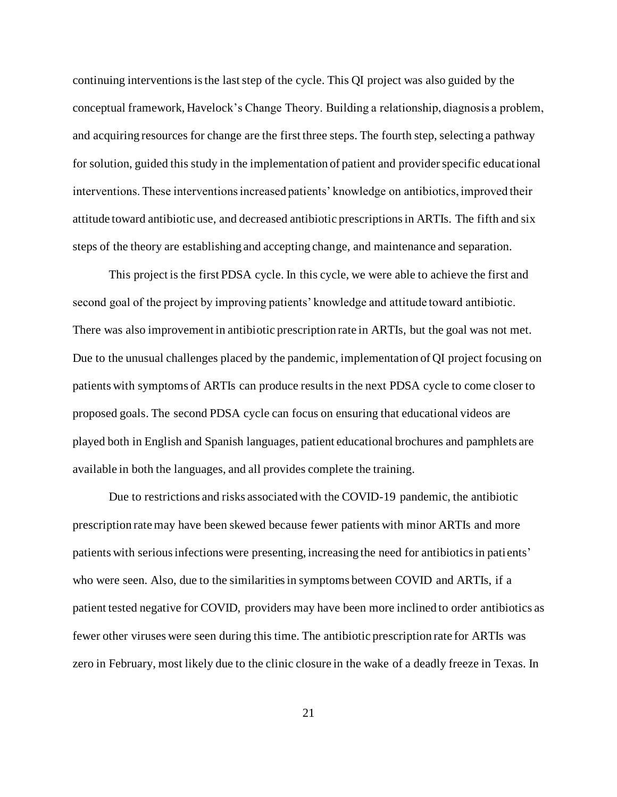continuing interventions isthe last step of the cycle. This QI project was also guided by the conceptual framework, Havelock's Change Theory. Building a relationship, diagnosis a problem, and acquiring resources for change are the first three steps. The fourth step, selecting a pathway for solution, guided this study in the implementation of patient and provider specific educational interventions. These interventions increased patients' knowledge on antibiotics, improved their attitude toward antibiotic use, and decreased antibiotic prescriptions in ARTIs. The fifth and six steps of the theory are establishing and accepting change, and maintenance and separation.

This project is the first PDSA cycle. In this cycle, we were able to achieve the first and second goal of the project by improving patients' knowledge and attitude toward antibiotic. There was also improvement in antibiotic prescription rate in ARTIs, but the goal was not met. Due to the unusual challenges placed by the pandemic, implementation of QI project focusing on patients with symptoms of ARTIs can produce results in the next PDSA cycle to come closer to proposed goals. The second PDSA cycle can focus on ensuring that educational videos are played both in English and Spanish languages, patient educational brochures and pamphlets are available in both the languages, and all provides complete the training.

Due to restrictions and risks associated with the COVID-19 pandemic, the antibiotic prescription rate may have been skewed because fewer patients with minor ARTIs and more patients with serious infections were presenting, increasing the need for antibiotics in patients' who were seen. Also, due to the similarities in symptoms between COVID and ARTIs, if a patient tested negative for COVID, providers may have been more inclined to order antibiotics as fewer other viruses were seen during this time. The antibiotic prescription rate for ARTIs was zero in February, most likely due to the clinic closure in the wake of a deadly freeze in Texas. In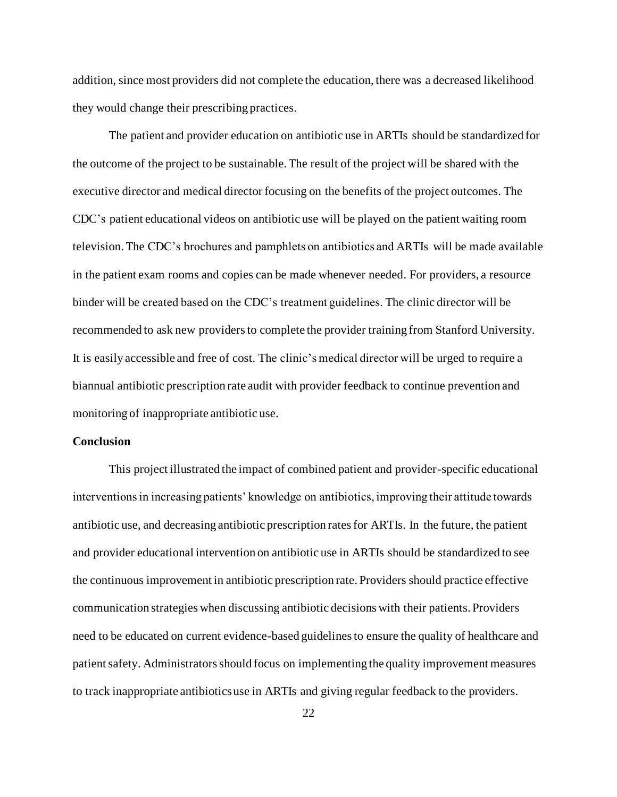addition, since most providers did not complete the education, there was a decreased likelihood they would change their prescribing practices.

The patient and provider education on antibiotic use in ARTIs should be standardized for the outcome of the project to be sustainable. The result of the project will be shared with the executive director and medical director focusing on the benefits of the project outcomes. The CDC's patient educational videos on antibiotic use will be played on the patient waiting room television. The CDC's brochures and pamphlets on antibiotics and ARTIs will be made available in the patient exam rooms and copies can be made whenever needed. For providers, a resource binder will be created based on the CDC's treatment guidelines. The clinic director will be recommended to ask new providers to complete the provider training from Stanford University. It is easily accessible and free of cost. The clinic's medical director will be urged to require a biannual antibiotic prescription rate audit with provider feedback to continue prevention and monitoring of inappropriate antibiotic use.

#### <span id="page-30-0"></span>**Conclusion**

This project illustrated the impact of combined patient and provider-specific educational interventions in increasing patients' knowledge on antibiotics, improving their attitude towards antibiotic use, and decreasing antibiotic prescription rates for ARTIs. In the future, the patient and provider educational intervention on antibiotic use in ARTIs should be standardized to see the continuous improvement in antibiotic prescription rate. Providers should practice effective communication strategies when discussing antibiotic decisions with their patients. Providers need to be educated on current evidence-based guidelines to ensure the quality of healthcare and patient safety. Administrators should focus on implementing the quality improvement measures to track inappropriate antibiotics use in ARTIs and giving regular feedback to the providers.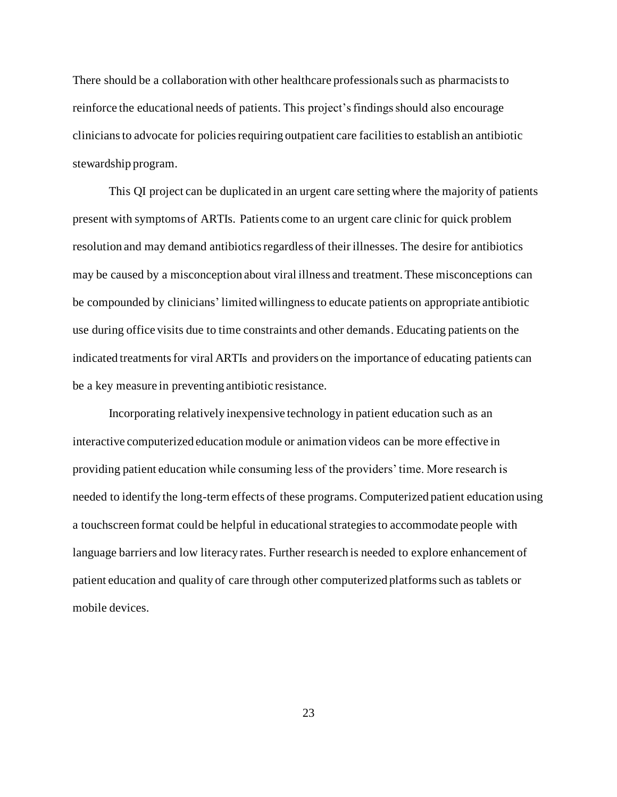There should be a collaboration with other healthcare professionals such as pharmacists to reinforce the educational needs of patients. This project's findings should also encourage clinicians to advocate for policies requiring outpatient care facilities to establish an antibiotic stewardship program.

This QI project can be duplicated in an urgent care setting where the majority of patients present with symptoms of ARTIs. Patients come to an urgent care clinic for quick problem resolution and may demand antibiotics regardless of their illnesses. The desire for antibiotics may be caused by a misconception about viral illness and treatment. These misconceptions can be compounded by clinicians' limited willingnessto educate patients on appropriate antibiotic use during office visits due to time constraints and other demands. Educating patients on the indicated treatments for viral ARTIs and providers on the importance of educating patients can be a key measure in preventing antibiotic resistance.

Incorporating relatively inexpensive technology in patient education such as an interactive computerized education module or animation videos can be more effective in providing patient education while consuming less of the providers' time. More research is needed to identify the long-term effects of these programs. Computerized patient education using a touchscreen format could be helpful in educational strategies to accommodate people with language barriers and low literacy rates. Further research is needed to explore enhancement of patient education and quality of care through other computerized platforms such as tablets or mobile devices.

23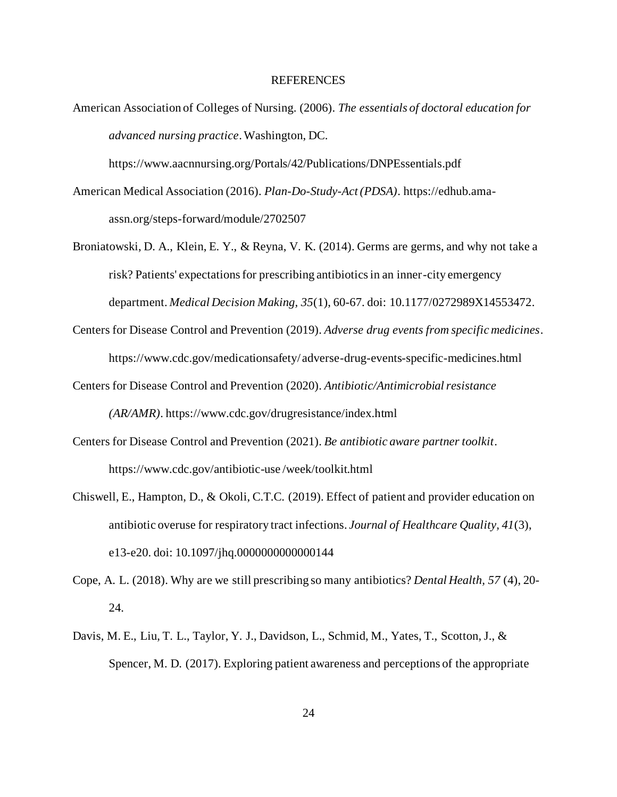#### REFERENCES

<span id="page-32-0"></span>American Association of Colleges of Nursing. (2006). *The essentials of doctoral education for advanced nursing practice*. Washington, DC.

https://www.aacnnursing.org/Portals/42/Publications/DNPEssentials.pdf

- American Medical Association (2016). *Plan-Do-Study-Act (PDSA)*. https://edhub.amaassn.org/steps-forward/module/2702507
- Broniatowski, D. A., Klein, E. Y., & Reyna, V. K. (2014). Germs are germs, and why not take a risk? Patients' expectations for prescribing antibiotics in an inner-city emergency department. *Medical Decision Making, 35*(1), 60-67. doi: 10.1177/0272989X14553472.
- Centers for Disease Control and Prevention (2019). *Adverse drug events from specific medicines*. https://www.cdc.gov/medicationsafety/ adverse-drug-events-specific-medicines.html
- Centers for Disease Control and Prevention (2020). *Antibiotic/Antimicrobial resistance (AR/AMR)*. https://www.cdc.gov/drugresistance/index.html
- Centers for Disease Control and Prevention (2021). *Be antibiotic aware partner toolkit*. https://www.cdc.gov/antibiotic-use /week/toolkit.html
- Chiswell, E., Hampton, D., & Okoli, C.T.C. (2019). Effect of patient and provider education on antibiotic overuse for respiratory tract infections. *Journal of Healthcare Quality, 41*(3), e13-e20. doi: 10.1097/jhq.0000000000000144
- Cope, A. L. (2018). Why are we still prescribing so many antibiotics? *Dental Health, 57* (4), 20- 24.
- Davis, M. E., Liu, T. L., Taylor, Y. J., Davidson, L., Schmid, M., Yates, T., Scotton, J., & Spencer, M. D. (2017). Exploring patient awareness and perceptions of the appropriate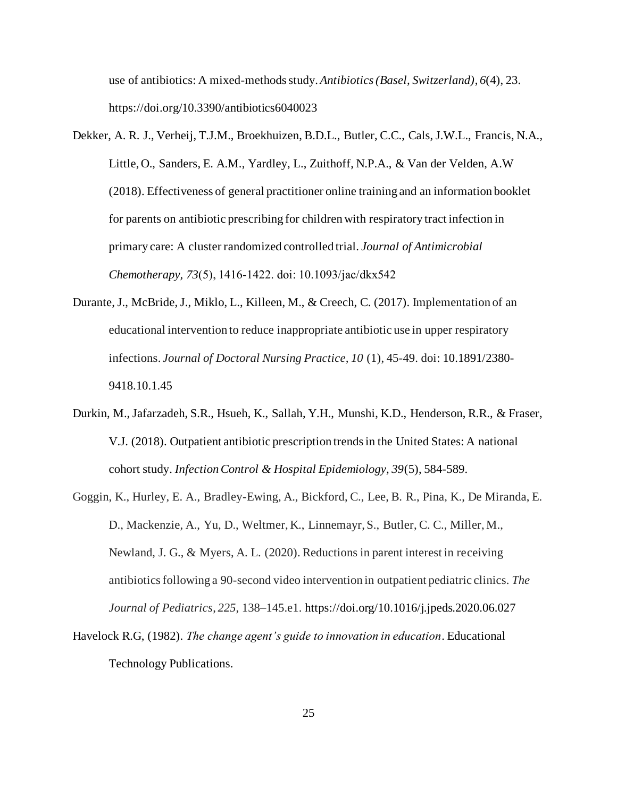use of antibiotics: A mixed-methods study. *Antibiotics (Basel, Switzerland)*, *6*(4), 23. https://doi.org/10.3390/antibiotics6040023

- Dekker, A. R. J., Verheij, T.J.M., Broekhuizen, B.D.L., Butler, C.C., Cals, J.W.L., Francis, N.A., Little, O., Sanders, E. A.M., Yardley, L., Zuithoff, N.P.A., & Van der Velden, A.W (2018). Effectiveness of general practitioner online training and an information booklet for parents on antibiotic prescribing for children with respiratory tract infection in primary care: A cluster randomized controlled trial. *Journal of Antimicrobial Chemotherapy, 73*(5), 1416‐1422. doi: 10.1093/jac/dkx542
- Durante, J., McBride, J., Miklo, L., Killeen, M., & Creech, C. (2017). Implementation of an educational intervention to reduce inappropriate antibiotic use in upper respiratory infections. *Journal of Doctoral Nursing Practice, 10* (1), 45-49. doi: 10.1891/2380- 9418.10.1.45
- Durkin, M., Jafarzadeh, S.R., Hsueh, K., Sallah, Y.H., Munshi, K.D., Henderson, R.R., & Fraser, V.J. (2018). Outpatient antibiotic prescription trends in the United States: A national cohort study. *Infection Control & Hospital Epidemiology, 39*(5), 584-589.
- Goggin, K., Hurley, E. A., Bradley-Ewing, A., Bickford, C., Lee, B. R., Pina, K., De Miranda, E. D., Mackenzie, A., Yu, D., Weltmer, K., Linnemayr, S., Butler, C. C., Miller, M., Newland, J. G., & Myers, A. L. (2020). Reductions in parent interest in receiving antibiotics following a 90-second video intervention in outpatient pediatric clinics. *The Journal of Pediatrics*, *225*, 138–145.e1. https://doi.org/10.1016/j.jpeds.2020.06.027
- Havelock R.G, (1982). *The change agent's guide to innovation in education*. Educational Technology Publications.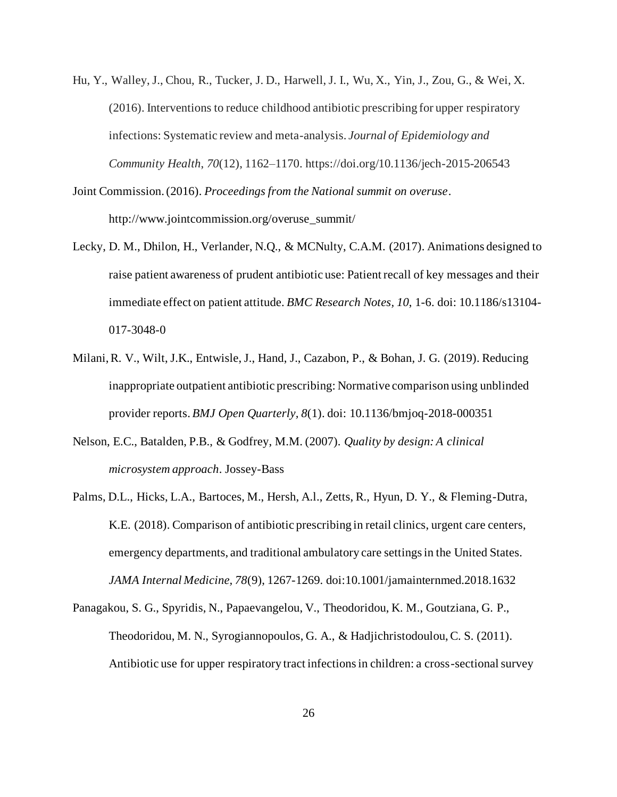- Hu, Y., Walley, J., Chou, R., Tucker, J. D., Harwell, J. I., Wu, X., Yin, J., Zou, G., & Wei, X. (2016). Interventions to reduce childhood antibiotic prescribing for upper respiratory infections: Systematic review and meta-analysis. *Journal of Epidemiology and Community Health*, *70*(12), 1162–1170. https://doi.org/10.1136/jech-2015-206543
- Joint Commission. (2016). *Proceedings from the National summit on overuse*. http://www.jointcommission.org/overuse\_summit/
- Lecky, D. M., Dhilon, H., Verlander, N.Q., & MCNulty, C.A.M. (2017). Animations designed to raise patient awareness of prudent antibiotic use: Patient recall of key messages and their immediate effect on patient attitude. *BMC Research Notes, 10*, 1-6. doi: 10.1186/s13104- 017-3048-0
- Milani, R. V., Wilt, J.K., Entwisle, J., Hand, J., Cazabon, P., & Bohan, J. G. (2019). Reducing inappropriate outpatient antibiotic prescribing: Normative comparison using unblinded provider reports. *BMJ Open Quarterly, 8*(1). doi: 10.1136/bmjoq-2018-000351
- Nelson, E.C., Batalden, P.B., & Godfrey, M.M. (2007). *Quality by design: A clinical microsystem approach*. Jossey-Bass
- Palms, D.L., Hicks, L.A., Bartoces, M., Hersh, A.l., Zetts, R., Hyun, D. Y., & Fleming-Dutra, K.E. (2018). Comparison of antibiotic prescribing in retail clinics, urgent care centers, emergency departments, and traditional ambulatory care settings in the United States. *JAMA Internal Medicine, 78*(9), 1267-1269. doi:10.1001/jamainternmed.2018.1632
- Panagakou, S. G., Spyridis, N., Papaevangelou, V., Theodoridou, K. M., Goutziana, G. P., Theodoridou, M. N., Syrogiannopoulos, G. A., & Hadjichristodoulou, C. S. (2011). Antibiotic use for upper respiratory tract infections in children: a cross-sectional survey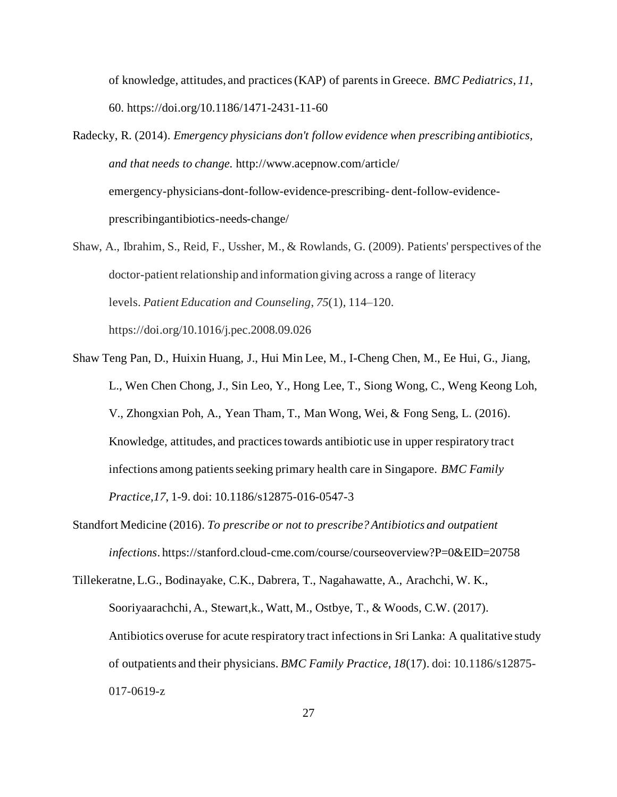of knowledge, attitudes, and practices (KAP) of parents in Greece. *BMC Pediatrics*, *11*, 60. https://doi.org/10.1186/1471-2431-11-60

- Radecky, R. (2014). *Emergency physicians don't follow evidence when prescribing antibiotics, and that needs to change.* http://www.acepnow.com/article/ emergency-physicians-dont-follow-evidence-prescribing- dent-follow-evidenceprescribingantibiotics-needs-change/
- Shaw, A., Ibrahim, S., Reid, F., Ussher, M., & Rowlands, G. (2009). Patients' perspectives of the doctor-patient relationship and information giving across a range of literacy levels. *Patient Education and Counseling*, *75*(1), 114–120. https://doi.org/10.1016/j.pec.2008.09.026
- Shaw Teng Pan, D., Huixin Huang, J., Hui Min Lee, M., I-Cheng Chen, M., Ee Hui, G., Jiang, L., Wen Chen Chong, J., Sin Leo, Y., Hong Lee, T., Siong Wong, C., Weng Keong Loh, V., Zhongxian Poh, A., Yean Tham, T., Man Wong, Wei, & Fong Seng, L. (2016). Knowledge, attitudes, and practices towards antibiotic use in upper respiratory tract infections among patients seeking primary health care in Singapore. *BMC Family Practice,17*, 1-9. doi: 10.1186/s12875-016-0547-3
- Standfort Medicine (2016). *To prescribe or not to prescribe? Antibiotics and outpatient infections*. https://stanford.cloud-cme.com/course/courseoverview?P=0&EID=20758

Tillekeratne, L.G., Bodinayake, C.K., Dabrera, T., Nagahawatte, A., Arachchi, W. K., Sooriyaarachchi, A., Stewart,k., Watt, M., Ostbye, T., & Woods, C.W. (2017). Antibiotics overuse for acute respiratory tract infections in Sri Lanka: A qualitative study of outpatients and their physicians. *BMC Family Practice, 18*(17). doi: 10.1186/s12875- 017-0619-z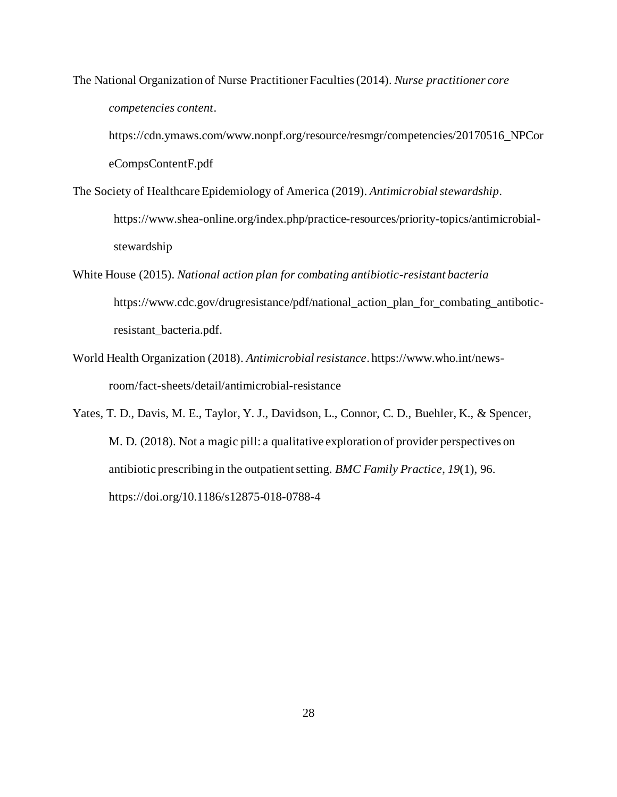The National Organization of Nurse Practitioner Faculties (2014). *Nurse practitioner core competencies content*.

https://cdn.ymaws.com/www.nonpf.org/resource/resmgr/competencies/20170516\_NPCor eCompsContentF.pdf

- The Society of Healthcare Epidemiology of America (2019). *Antimicrobial stewardship*. https://www.shea-online.org/index.php/practice-resources/priority-topics/antimicrobialstewardship
- White House (2015). *National action plan for combating antibiotic-resistant bacteria* https://www.cdc.gov/drugresistance/pdf/national\_action\_plan\_for\_combating\_antiboticresistant\_bacteria.pdf.
- World Health Organization (2018). *Antimicrobial resistance*. https://www.who.int/newsroom/fact-sheets/detail/antimicrobial-resistance
- Yates, T. D., Davis, M. E., Taylor, Y. J., Davidson, L., Connor, C. D., Buehler, K., & Spencer, M. D. (2018). Not a magic pill: a qualitative exploration of provider perspectives on antibiotic prescribing in the outpatient setting. *BMC Family Practice*, *19*(1), 96. https://doi.org/10.1186/s12875-018-0788-4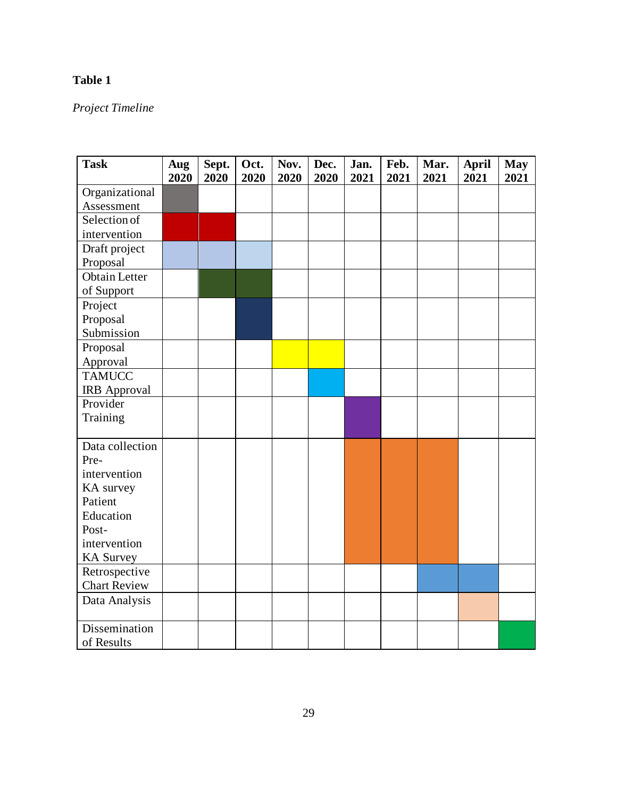# <span id="page-37-0"></span>**Table 1**

# *Project Timeline*

| <b>Task</b>                | Aug  | Sept. | Oct. | Nov. | Dec. | Jan. | Feb. | Mar. | <b>April</b> | <b>May</b> |
|----------------------------|------|-------|------|------|------|------|------|------|--------------|------------|
|                            | 2020 | 2020  | 2020 | 2020 | 2020 | 2021 | 2021 | 2021 | 2021         | 2021       |
| Organizational             |      |       |      |      |      |      |      |      |              |            |
| Assessment<br>Selection of |      |       |      |      |      |      |      |      |              |            |
|                            |      |       |      |      |      |      |      |      |              |            |
| intervention               |      |       |      |      |      |      |      |      |              |            |
| Draft project              |      |       |      |      |      |      |      |      |              |            |
| Proposal                   |      |       |      |      |      |      |      |      |              |            |
| <b>Obtain Letter</b>       |      |       |      |      |      |      |      |      |              |            |
| of Support                 |      |       |      |      |      |      |      |      |              |            |
| Project                    |      |       |      |      |      |      |      |      |              |            |
| Proposal                   |      |       |      |      |      |      |      |      |              |            |
| Submission                 |      |       |      |      |      |      |      |      |              |            |
| Proposal                   |      |       |      |      |      |      |      |      |              |            |
| Approval                   |      |       |      |      |      |      |      |      |              |            |
| <b>TAMUCC</b>              |      |       |      |      |      |      |      |      |              |            |
| <b>IRB</b> Approval        |      |       |      |      |      |      |      |      |              |            |
| Provider                   |      |       |      |      |      |      |      |      |              |            |
| Training                   |      |       |      |      |      |      |      |      |              |            |
|                            |      |       |      |      |      |      |      |      |              |            |
| Data collection            |      |       |      |      |      |      |      |      |              |            |
| Pre-                       |      |       |      |      |      |      |      |      |              |            |
| intervention               |      |       |      |      |      |      |      |      |              |            |
| KA survey                  |      |       |      |      |      |      |      |      |              |            |
| Patient                    |      |       |      |      |      |      |      |      |              |            |
| Education                  |      |       |      |      |      |      |      |      |              |            |
| Post-                      |      |       |      |      |      |      |      |      |              |            |
| intervention               |      |       |      |      |      |      |      |      |              |            |
| <b>KA Survey</b>           |      |       |      |      |      |      |      |      |              |            |
| Retrospective              |      |       |      |      |      |      |      |      |              |            |
| <b>Chart Review</b>        |      |       |      |      |      |      |      |      |              |            |
| Data Analysis              |      |       |      |      |      |      |      |      |              |            |
|                            |      |       |      |      |      |      |      |      |              |            |
| Dissemination              |      |       |      |      |      |      |      |      |              |            |
| of Results                 |      |       |      |      |      |      |      |      |              |            |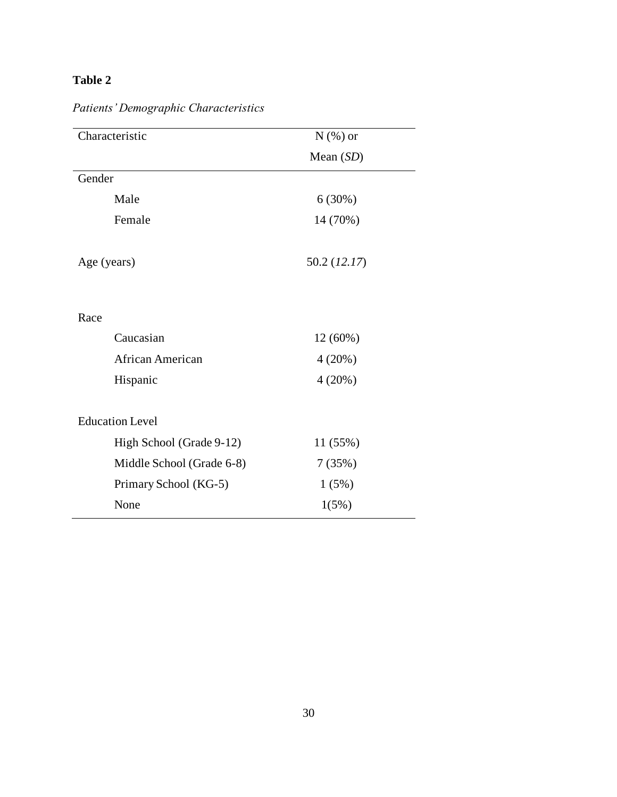# <span id="page-38-0"></span>**Table 2**

| Characteristic<br>$N$ (%) or |              |
|------------------------------|--------------|
|                              | Mean $(SD)$  |
| Gender                       |              |
| Male                         | 6(30%)       |
| Female                       | 14 (70%)     |
| Age (years)                  | 50.2 (12.17) |
| Race                         |              |
| Caucasian                    | 12 (60%)     |
| African American             | 4(20%)       |
| Hispanic                     | 4(20%)       |
| <b>Education Level</b>       |              |
| High School (Grade 9-12)     | 11 (55%)     |
| Middle School (Grade 6-8)    | 7(35%)       |
| Primary School (KG-5)        | 1(5%)        |
| None                         | 1(5%)        |

*Patients' Demographic Characteristics*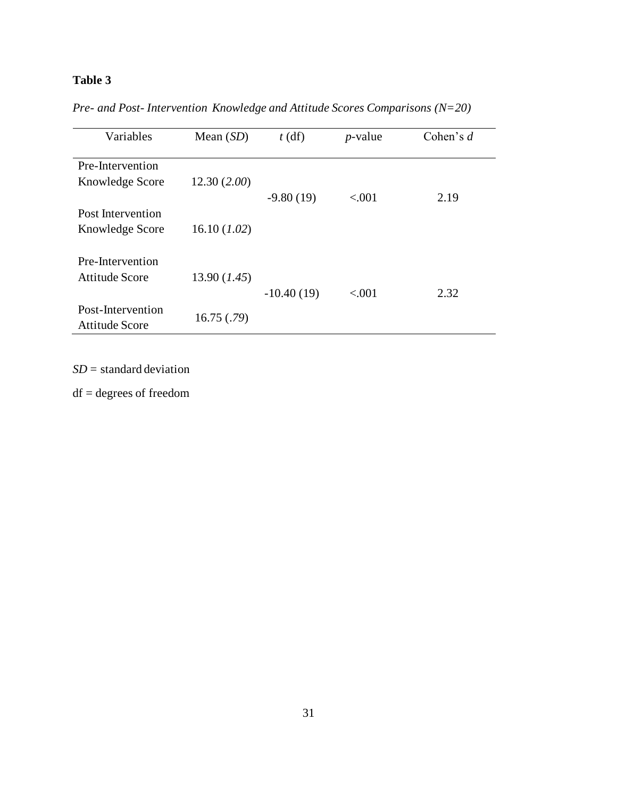# <span id="page-39-0"></span>**Table 3**

| Variables                           | Mean $(SD)$  | $t$ (df)     | $p$ -value | Cohen's $d$ |
|-------------------------------------|--------------|--------------|------------|-------------|
| Pre-Intervention                    |              |              |            |             |
| Knowledge Score                     | 12.30(2.00)  | $-9.80(19)$  | < 0.001    | 2.19        |
| Post Intervention                   |              |              |            |             |
| Knowledge Score                     | 16.10 (1.02) |              |            |             |
| Pre-Intervention                    |              |              |            |             |
| Attitude Score                      | 13.90 (1.45) | $-10.40(19)$ | < .001     | 2.32        |
| Post-Intervention<br>Attitude Score | 16.75(.79)   |              |            |             |

*Pre- and Post- Intervention Knowledge and Attitude Scores Comparisons (N=20)*

*SD* = standard deviation

df = degrees of freedom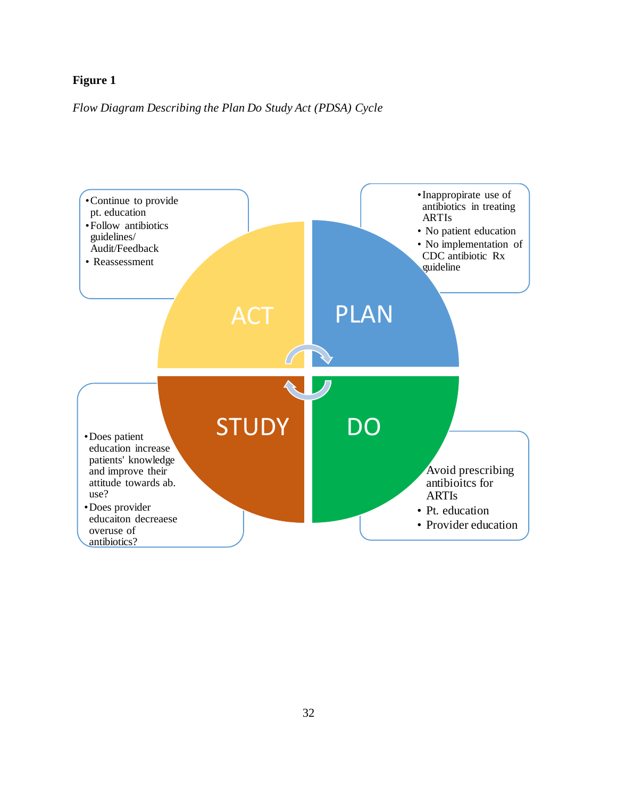### <span id="page-40-0"></span>*Flow Diagram Describing the Plan Do Study Act (PDSA) Cycle*

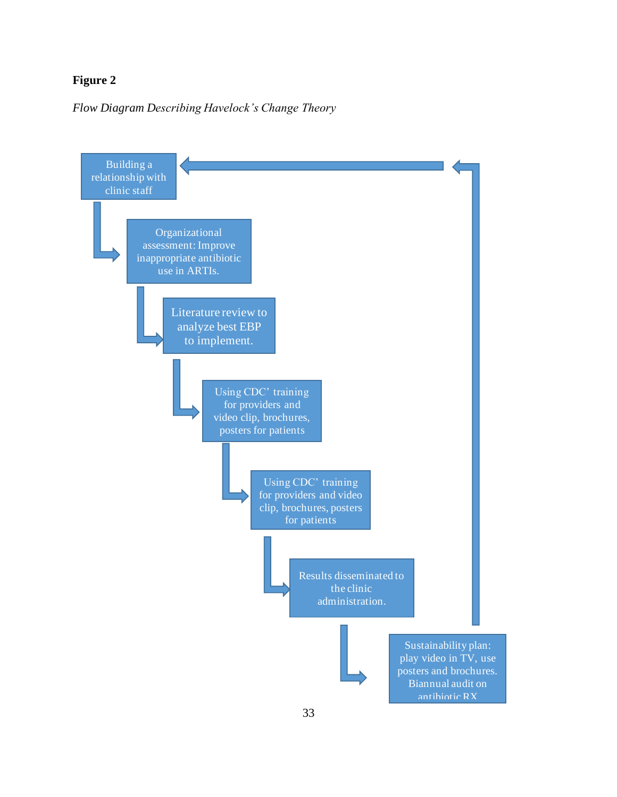<span id="page-41-0"></span>*Flow Diagram Describing Havelock's Change Theory* 

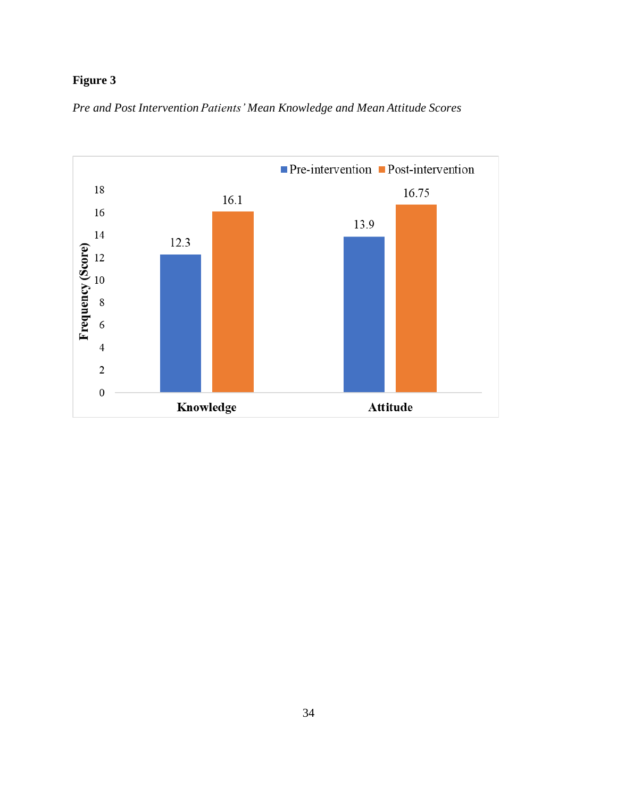<span id="page-42-0"></span>*Pre and Post Intervention Patients' Mean Knowledge and Mean Attitude Scores*

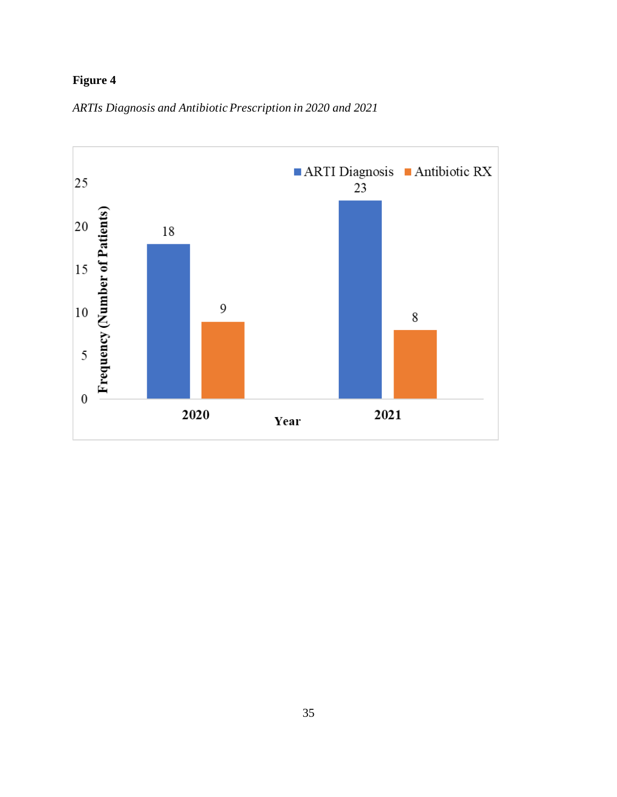<span id="page-43-0"></span>

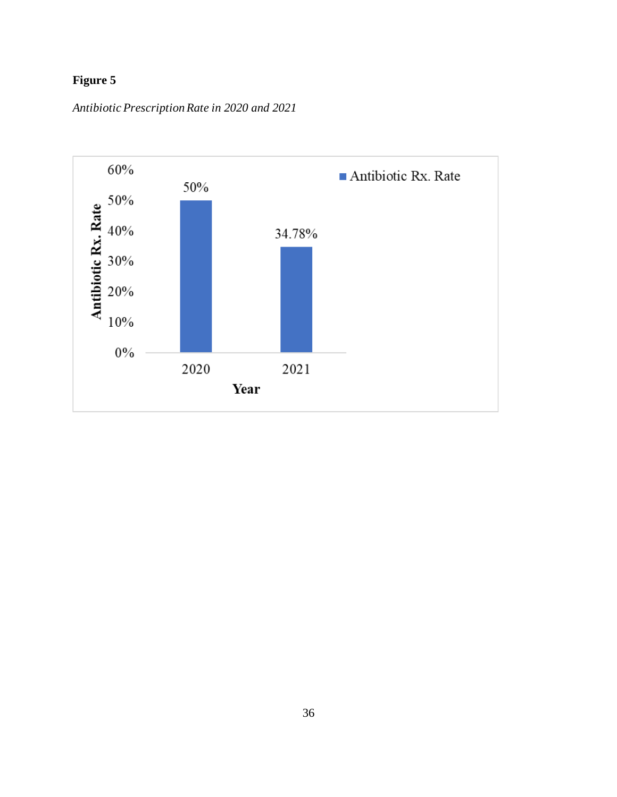<span id="page-44-0"></span>*Antibiotic Prescription Rate in 2020 and 2021*

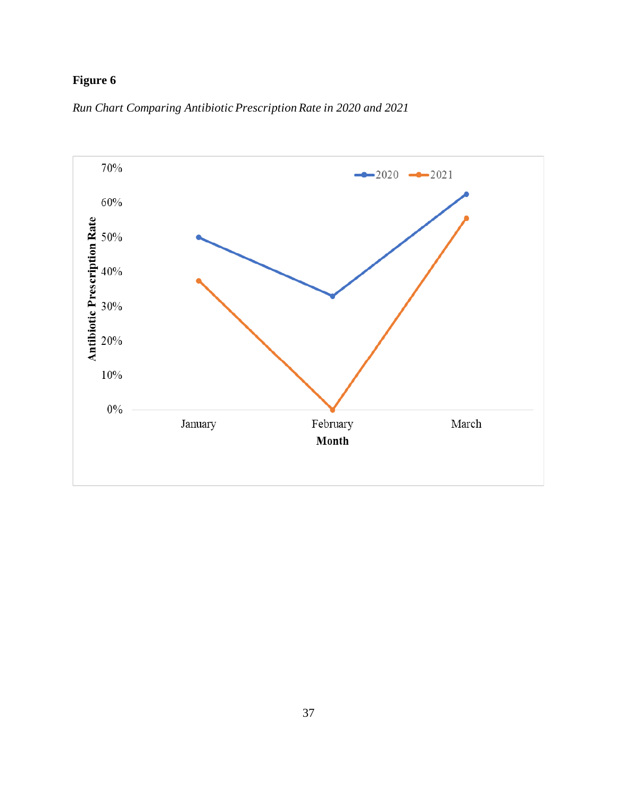<span id="page-45-0"></span>

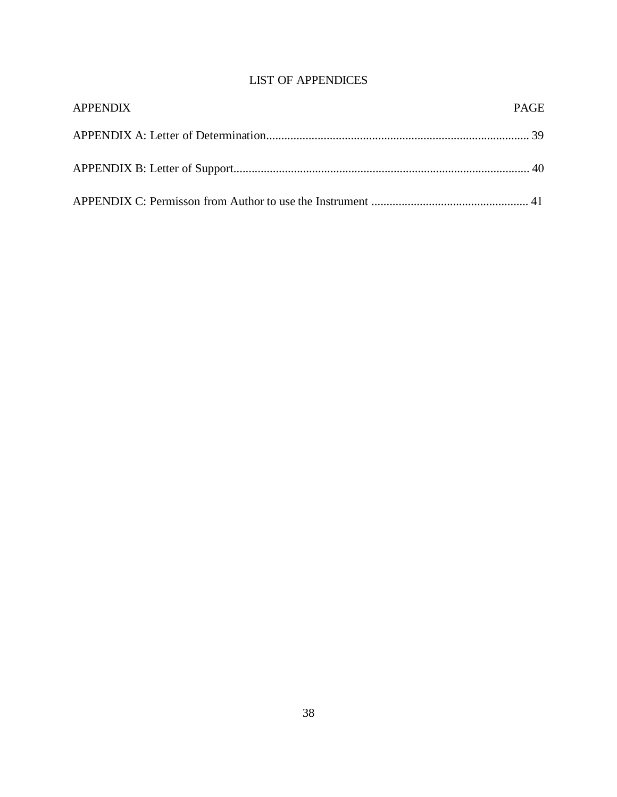## LIST OF APPENDICES

<span id="page-46-0"></span>

| <b>APPENDIX</b> | <b>PAGE</b> |
|-----------------|-------------|
|                 |             |
|                 |             |
|                 |             |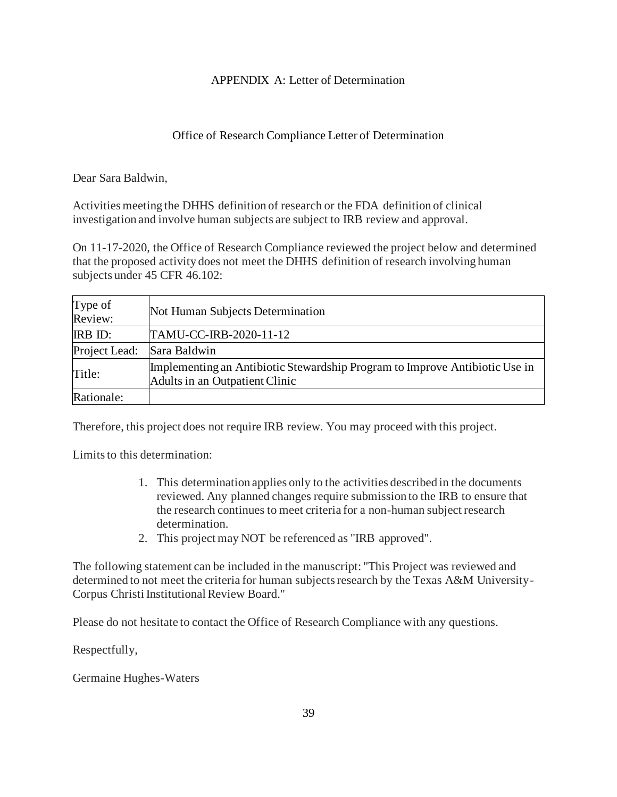### APPENDIX A: Letter of Determination

### Office of Research Compliance Letter of Determination

<span id="page-47-0"></span>Dear Sara Baldwin,

Activities meeting the DHHS definition of research or the FDA definition of clinical investigation and involve human subjects are subject to IRB review and approval.

On 11-17-2020, the Office of Research Compliance reviewed the project below and determined that the proposed activity does not meet the DHHS definition of research involving human subjects under 45 CFR 46.102:

| Type of<br>Review: | Not Human Subjects Determination                                                                              |
|--------------------|---------------------------------------------------------------------------------------------------------------|
| <b>IRB ID:</b>     | TAMU-CC-IRB-2020-11-12                                                                                        |
| Project Lead:      | Sara Baldwin                                                                                                  |
| Title:             | Implementing an Antibiotic Stewardship Program to Improve Antibiotic Use in<br>Adults in an Outpatient Clinic |
| Rationale:         |                                                                                                               |

Therefore, this project does not require IRB review. You may proceed with this project.

Limits to this determination:

- 1. This determination applies only to the activities described in the documents reviewed. Any planned changes require submission to the IRB to ensure that the research continues to meet criteria for a non-human subject research determination.
- 2. This project may NOT be referenced as "IRB approved".

The following statement can be included in the manuscript: "This Project was reviewed and determined to not meet the criteria for human subjects research by the Texas A&M University-Corpus Christi Institutional Review Board."

Please do not hesitate to contact the Office of Research Compliance with any questions.

Respectfully,

Germaine Hughes-Waters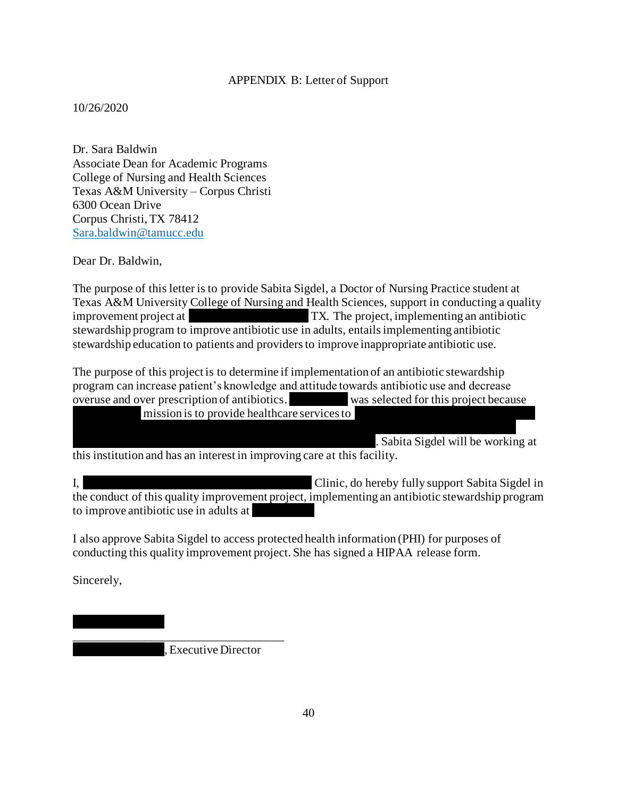#### APPENDIX B: Letter of Support

<span id="page-48-0"></span>10/26/2020

Dr. Sara Baldwin Associate Dean for Academic Programs College of Nursing and Health Sciences Texas A&M University – Corpus Christi 6300 Ocean Drive Corpus Christi, TX 78412 [Sara.baldwin@tamucc.edu](mailto:Sara.baldwin@tamucc.edu)

Dear Dr. Baldwin,

The purpose of this letter is to provide Sabita Sigdel, a Doctor of Nursing Practice student at Texas A&M University College of Nursing and Health Sciences, support in conducting a quality improvement project at  $TX$ . The project, implementing an antibiotic stewardship program to improve antibiotic use in adults, entails implementing antibiotic stewardship education to patients and providers to improve inappropriate antibiotic use.

The purpose of this project is to determine if implementation of an antibiotic stewardship program can increase patient's knowledge and attitude towards antibiotic use and decrease overuse and over prescription of antibiotics. Was selected for this project because mission is to provide healthcare services to

at or below 200% of the Federal poverty line and adults living below the poverty level have

. Sabita Sigdel will be working at this institution and has an interest in improving care at this facility.

I, Clinic, do hereby fully support Sabita Sigdel in the conduct of this quality improvement project, implementing an antibiotic stewardship program to improve antibiotic use in adults at

I also approve Sabita Sigdel to access protected health information (PHI) for purposes of conducting this quality improvement project. She has signed a HIPAA release form.

Sincerely,

. Executive Director

\_\_\_\_\_\_\_\_\_\_\_\_\_\_\_\_\_\_\_\_\_\_\_\_\_\_\_\_\_\_\_\_\_\_\_